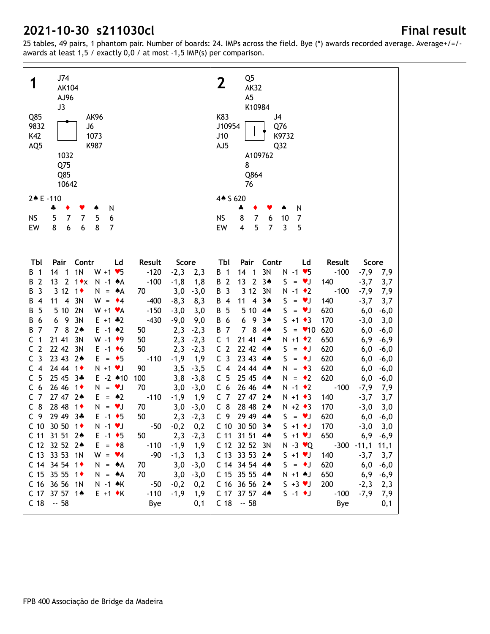| Q85<br>9832<br>K42<br>AQ <sub>5</sub> | J74<br><b>AK104</b><br>AJ96<br>J3<br>1032<br>Q75<br>Q85<br>10642 | <b>AK96</b><br>J6<br>1073<br>K987  |          |                         | Q <sub>5</sub><br>$\mathbf 2$<br><b>AK32</b><br>A <sub>5</sub><br>K10984<br>K83<br>J <sub>4</sub><br>J10954<br>Q76<br>K9732<br>J10<br>AJ5<br>Q <sub>32</sub><br>A109762<br>8<br>Q864<br>76 |
|---------------------------------------|------------------------------------------------------------------|------------------------------------|----------|-------------------------|--------------------------------------------------------------------------------------------------------------------------------------------------------------------------------------------|
| 2 + E - 110                           |                                                                  |                                    |          |                         | 4 + S 620                                                                                                                                                                                  |
|                                       | 4<br>٠                                                           | N<br>۸                             |          |                         | N<br>4<br>٠                                                                                                                                                                                |
| <b>NS</b>                             | 5<br>$\overline{7}$<br>$\overline{7}$                            | 5<br>6                             |          |                         | 8<br>$\overline{7}$<br><b>NS</b><br>6<br>10<br>7                                                                                                                                           |
| EW                                    | 8<br>$\boldsymbol{6}$<br>6                                       | 8<br>$\overline{7}$                |          |                         | 5<br>$\overline{7}$<br>$\overline{3}$<br>5<br>EW<br>$\overline{\mathbf{4}}$                                                                                                                |
|                                       |                                                                  |                                    |          |                         |                                                                                                                                                                                            |
| TЫ                                    | Pair<br>Contr                                                    | Ld                                 | Result   | Score                   | Pair<br>Tbl<br>Contr<br>Ld<br>Result<br>Score                                                                                                                                              |
| В<br>1                                | 1 <sub>N</sub><br>14<br>$\overline{\mathbf{1}}$                  | $W + 1 \cdot 5$                    | $-120$   | $-2,3$<br>2,3           | 14<br>3N<br>$-100$<br>$-7,9$<br>B 1<br>$\overline{\phantom{1}}$<br>$N - 1$ $\blacktriangleright$ 5<br>7,9                                                                                  |
| $\overline{2}$<br>В                   | 13<br>$\overline{2}$<br>$1 \cdot x$                              | N -1 AA                            | $-100$   | $-1,8$<br>1,8           | 13<br>$\overline{2}$<br>B 2<br>$3*$<br>$S = \bullet J$<br>140<br>$-3,7$<br>3,7                                                                                                             |
| 3<br>В                                | 3 12<br>$1\bullet$                                               | N.<br>۸Α<br>$\equiv$               | 70       | 3,0<br>$-3,0$           | 3 12<br><b>B</b> 3<br>3N<br>$N - 1$ $\bullet$ 2<br>$-100$<br>$-7,9$<br>7,9                                                                                                                 |
| В<br>4                                | $\overline{\mathbf{4}}$<br>3N<br>11                              | $W =$<br>$\bullet$ 4               | $-400$   | $-8,3$<br>8,3           | $\overline{\mathbf{4}}$<br>3A<br>B<br>11<br>S.<br><b>V</b><br>140<br>$-3,7$<br>4<br>3,7<br>$\qquad \qquad =$                                                                               |
| 5<br>В                                | 2N<br>5 10                                                       | $W + 1$ $\times$ A                 | $-150$   | $-3,0$<br>3,0           | S.<br>B<br>5<br>5 10<br>$4*$<br>$\bullet$<br>620<br>6,0<br>$-6,0$<br>$\equiv$                                                                                                              |
| 6<br>В                                | 9<br>3N<br>6                                                     | $E + 1 + 2$                        | $-430$   | $-9,0$<br>9,0           | 9<br>3A<br>$S + 1 \cdot 3$<br>В<br>6<br>6<br>170<br>$-3,0$<br>3,0                                                                                                                          |
| $\overline{7}$<br>В                   | 8<br>$2*$<br>$\overline{7}$                                      | $E - 1$ $*2$                       | 50       | 2,3<br>$-2,3$           | $\overline{7}$<br>8<br>$S =$<br>В<br>$\overline{7}$<br>$4*$<br>$\bullet$ 10<br>620<br>6,0<br>$-6,0$                                                                                        |
| с<br>1<br>$\overline{2}$<br>C         | 21 41<br>3N<br>22 42<br>3N                                       | $W - 1$ $\bullet$ 9                | 50<br>50 | 2,3<br>$-2,3$           | 21 41<br>$N + 1$ $\bullet$ 2<br>$\mathsf{C}$<br>$\mathbf 1$<br>$4*$<br>650<br>6,9<br>$-6,9$<br>C <sub>2</sub><br>22 42 44<br>S<br>$\bullet$                                                |
| 3<br>C                                | 23 43<br>$2*$                                                    | $E - 1$ +6<br>$\bullet$ 5<br>$E =$ | $-110$   | 2,3<br>$-2,3$<br>$-1,9$ | 620<br>6,0<br>$-6,0$<br>$\equiv$<br>C <sub>3</sub><br>S.<br>23 43 44<br>$\bullet$<br>620<br>6,0<br>$\equiv$                                                                                |
| $\overline{4}$<br>C                   | 24 44<br>$1\bullet$                                              | $N + 1$ $V$                        | 90       | 1,9<br>3,5<br>$-3,5$    | $-6,0$<br>24 44 44<br>C <sub>4</sub><br>$\rightarrow$ 3<br>620<br>N<br>6,0<br>$-6,0$<br>$\equiv$                                                                                           |
| 5<br>C                                | 25 45<br>$3*$                                                    | $E - 2$ 410                        | 100      | 3,8<br>$-3,8$           | 5<br>25 45 44<br>$\mathsf{C}$<br>$N = \cdot 2$<br>620<br>6,0<br>$-6,0$                                                                                                                     |
| 6<br>C                                | 26 46<br>$1\bullet$                                              | N.<br>$= \forall J$                | 70       | 3,0<br>$-3,0$           | C <sub>6</sub><br>26 46 44<br>$N - 1$ $\bullet$ 2<br>$-100$<br>$-7,9$<br>7,9                                                                                                               |
| $\overline{7}$<br>C                   | 27 47<br>$2*$                                                    | $\bullet 2$<br>E.<br>$=$           | $-110$   | $-1,9$<br>1,9           | 27 47 24<br>C <sub>7</sub><br>$N + 1$ $\bullet$ 3<br>140<br>$-3,7$<br>3,7                                                                                                                  |
| 8<br>C                                | 28 48<br>$1\bullet$                                              | $N =$<br>VJ                        | 70       | 3,0<br>$-3,0$           | $C_8$<br>28 48 24<br>$N + 2$ $\triangleleft$ 3<br>170<br>$-3,0$<br>3,0                                                                                                                     |
| C <sub>9</sub>                        | 29 49 3*                                                         | $E - 1$ + 5                        | 50       | 2,3<br>$-2,3$           | C <sub>9</sub><br>29 49 44<br>$S = \bullet J$<br>620<br>6,0<br>$-6,0$                                                                                                                      |
|                                       | C 10 30 50 1◆                                                    | $N - 1$ $\neg$ J                   | $-50$    | 0,2<br>$-0,2$           | C 10 30 50 34<br>$S + 1$ + J<br>170<br>$-3,0$<br>3,0                                                                                                                                       |
|                                       | C 11 31 51 24                                                    | $E - 1$ + 5                        | 50       | $2,3 -2,3$              | 650<br>$-6,9$<br>C 11 31 51 4<br>$S + 1 \cdot J$<br>6,9                                                                                                                                    |
|                                       | C 12 32 52 24                                                    | $E = \bullet 8$                    | $-110$   | $-1,9$<br>1,9           | C 12 32 52 3N<br>$N - 3 \cdot Q$<br>$-300 -11,1$<br>11,1                                                                                                                                   |
|                                       | C 13 33 53 1N                                                    | $W = \bullet 4$                    | $-90$    | $-1,3$<br>1,3           | C 13 33 53 2*<br>$S + 1 \cdot J$<br>140<br>$-3,7$<br>3,7                                                                                                                                   |
|                                       | C 14 34 54 1 <sup>+</sup>                                        | $N = A$                            | 70       | 3,0<br>$-3,0$           | C 14 34 54 4*<br>$S = \bullet J$<br>620<br>6,0<br>$-6,0$                                                                                                                                   |
|                                       | C 15 35 55 1 $\bullet$                                           | $N = A$                            | 70       | 3,0<br>$-3,0$           | C 15 35 55 4*<br>$N + 1$ $\uparrow$ J<br>650<br>6,9<br>$-6,9$                                                                                                                              |
|                                       | C 16 36 56 1N                                                    | $N - 1$ $\star$ K                  | $-50$    | $-0,2$<br>0,2           | C 16 36 56 24<br>$S + 3 \vee J$<br>200<br>$-2,3$<br>2,3                                                                                                                                    |
|                                       | C 17 37 57 14                                                    | $E + 1$ $\star$ K                  | $-110$   | $-1,9$<br>1,9           | C 17 37 57 4*<br>$S - 1$ $\bullet$ J<br>$-100$<br>$-7,9$<br>7,9                                                                                                                            |
|                                       | $C$ 18 $-58$                                                     |                                    | Bye      | 0,1                     | $C$ 18 $-58$<br>Bye<br>0,1                                                                                                                                                                 |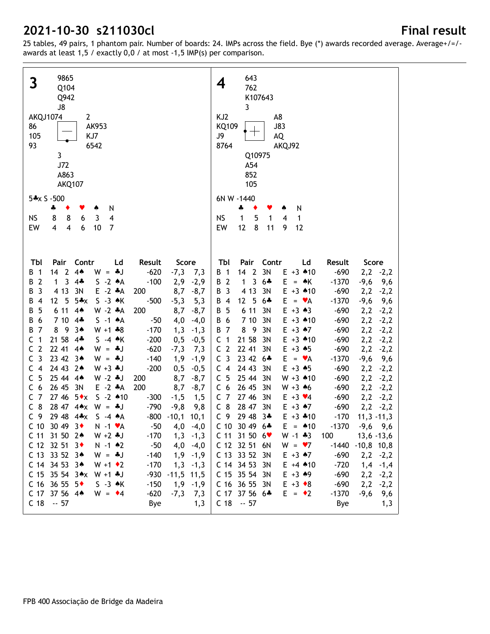| 9865<br>$\mathbf{3}$<br>Q104<br>Q942<br>J8<br><b>AKQJ1074</b><br>$\overline{2}$<br>86<br>AK953<br>KJ7<br>105<br>93<br>6542<br>3<br>J72<br>A863<br><b>AKQ107</b> |                                                    | 643<br>4<br>762<br>K107643<br>3<br>KJ <sub>2</sub><br>A8<br>KQ109<br>J83<br>J9<br>AQ<br>8764<br>AKQJ92<br>Q10975<br>A54<br>852<br>105 |
|-----------------------------------------------------------------------------------------------------------------------------------------------------------------|----------------------------------------------------|---------------------------------------------------------------------------------------------------------------------------------------|
| 5*x S -500                                                                                                                                                      |                                                    | 6N W -1440                                                                                                                            |
| N<br>ቆ<br>٠<br>v<br>۸                                                                                                                                           |                                                    | N<br>÷<br>٠                                                                                                                           |
| 8<br>6<br><b>NS</b><br>8<br>3<br>4<br>EW<br>$\overline{\mathbf{4}}$<br>$\overline{\mathbf{4}}$<br>6<br>10<br>$\overline{7}$                                     |                                                    | 5<br><b>NS</b><br>1<br>1<br>$\overline{4}$<br>1<br>8<br>EW<br>12<br>11<br>9<br>12                                                     |
|                                                                                                                                                                 |                                                    |                                                                                                                                       |
| Pair<br>Contr<br>TЫ<br>Ld                                                                                                                                       | Result<br>Score                                    | Contr<br>TЫ<br>Pair<br>Ld<br>Result<br>Score                                                                                          |
| $4*$<br>$142$<br>$W = *J$<br>$\mathbf{1}$<br>В                                                                                                                  | $-620$<br>$-7,3$<br>7,3                            | 3N<br>$-690$<br><b>B</b> 1<br>14<br>$\overline{2}$<br>$E + 3$ $*10$<br>$2,2$ -2,2                                                     |
| $\overline{2}$<br>3<br>$4*$<br>$S -2 A$<br>В<br>1                                                                                                               | $-100$<br>2,9<br>$-2,9$                            | 3<br>B 2<br>1<br>$6 +$<br>E.<br>$-1370$<br>$-9,6$<br>$= A K$<br>9,6<br>4 1 3                                                          |
| 4 1 3<br>$E - 2 A$<br>3<br>3N<br>В<br>5<br>$5+x$<br>$S - 3$ $\star$ K<br>12 <sup>2</sup><br>В<br>$\overline{4}$                                                 | 200<br>8,7<br>$-8,7$<br>$-500$                     | B 3<br>3N<br>$E + 3$ 410<br>$-690$<br>2,2<br>$-2,2$<br>12<br>5<br>B 4<br>$6 +$<br>E.<br>$-1370$<br>$= \mathbf{v} A$                   |
| 6 11<br>$W - 2 A$<br>5<br>$4*$<br>В                                                                                                                             | $-5,3$<br>5,3<br>200<br>8,7<br>$-8,7$              | $-9,6$<br>9,6<br><b>B</b> 5<br>6 11<br>3N<br>$E + 3 \cdot 3$<br>$-690$<br>2,2<br>$-2,2$                                               |
| 7 10<br>$4*$<br>$S -1$ $*A$<br>В<br>6                                                                                                                           | 4,0<br>$-50$<br>$-4,0$                             | 3N<br>B 6<br>7 10<br>$E + 3$ $*10$<br>$-690$<br>2,2<br>$-2,2$                                                                         |
| $\overline{7}$<br>-9<br>$3*$<br>В<br>8<br>$W + 1 + 8$                                                                                                           | $-170$<br>1,3<br>$-1,3$                            | <b>B</b> 7<br>8<br>- 9<br>3N<br>2,2<br>$E + 3$ $A7$<br>$-690$<br>$-2,2$                                                               |
| $\mathbf{1}$<br>21 58<br>$4*$<br>$S -4$ $*$ K<br>С                                                                                                              | $-200$<br>0,5<br>$-0,5$                            | 21 58<br>3N<br>$\overline{1}$<br>$E + 3$ $*10$<br>$-690$<br>2,2<br>C<br>$-2,2$                                                        |
| $\overline{2}$<br>22 41<br>C<br>$W = *J$<br>$4*$                                                                                                                | $-620$<br>$-7,3$<br>7,3                            | C <sub>2</sub><br>22 41<br>3N<br>$E + 3 + 5$<br>$-690$<br>2,2<br>$-2,2$                                                               |
| 3<br>23 42<br>C<br>$3*$<br>$W = *J$                                                                                                                             | $-140$<br>1,9<br>$-1,9$                            | C <sub>3</sub><br>23 42 6*<br>$E = \bullet A$<br>$-1370$<br>$-9,6$<br>9,6                                                             |
| 24 43<br>$\overline{4}$<br>$2*$<br>$W + 3 + J$<br>C                                                                                                             | $-200$<br>0, 5<br>$-0,5$                           | C <sub>4</sub><br>24 43<br>3N<br>$E + 3 + 5$<br>$-690$<br>2,2<br>$-2,2$                                                               |
| 5<br>25 44<br>C<br>$4*$<br>$W - 2 + J$                                                                                                                          | 200<br>8,7<br>$-8,7$                               | C <sub>5</sub><br>25 44<br>3N<br>$W + 3$ 410<br>$-690$<br>2,2<br>$-2,2$                                                               |
| 26 45<br>6<br>3N<br>$E - 2$ $A$<br>C                                                                                                                            | 200<br>8,7<br>$-8,7$                               | C <sub>6</sub><br>26 45<br>3N<br>$W + 3$ 46<br>$-690$<br>2,2<br>$-2,2$                                                                |
| $\overline{7}$<br>27 46<br>$S - 2 * 10$<br>$5 \star x$<br>C                                                                                                     | $-300$<br>$-1,5$<br>1, 5                           | C <sub>7</sub><br>27 46<br>3N<br>$E + 3 \times 4$<br>$-690$<br>2,2<br>$-2,2$                                                          |
| 8<br>28 47 4*x<br>$W = *J$<br>C                                                                                                                                 | $-790$<br>$-9,8$<br>9,8                            | $C_8$<br>28 47 3N<br>$2,2 -2,2$<br>$E + 3$ $*7$<br>$-690$                                                                             |
| 29 48 4*x<br>C <sub>9</sub><br>$S -4 A$                                                                                                                         | $-800 - 10,1$ 10,1                                 | C <sub>9</sub><br>29 48 3*<br>$E + 3$ $*10$<br>$-170$<br>$11,3 -11,3$                                                                 |
| C 10 30 49 3 $\bullet$<br>$N - 1$ $\forall A$                                                                                                                   |                                                    |                                                                                                                                       |
| C 11 31 50 24<br>$W + 2 * J$                                                                                                                                    | $-50$<br>$4,0$ $-4,0$                              | $C$ 10 30 49 6*<br>$E = 10$<br>-1370<br>$-9,6$ $9,6$                                                                                  |
|                                                                                                                                                                 | $-170$<br>1,3<br>$-1,3$                            | $W - 1 * 3$<br>$C$ 11 31 50 6 $\bullet$<br>100<br>$13,6 - 13,6$                                                                       |
| C 12 32 51 3 $\bullet$<br>$N - 1$ $\bullet 2$                                                                                                                   | $-50$<br>4,0<br>$-4,0$                             | C 12 32 51 6N<br>$W = \bullet 7$<br>$-1440 - 10,8$ 10,8                                                                               |
| C 13 33 52 34<br>$W = -1$                                                                                                                                       | $-140$<br>1,9<br>$-1,9$                            | C 13 33 52 3N<br>$E + 3$ $A7$<br>$-690$<br>$2,2$ $-2,2$                                                                               |
| C 14 34 53 34<br>$W + 1$ $\bullet$ 2                                                                                                                            | $-170$<br>$-1,3$<br>1,3                            | C 14 34 53 3N<br>$E + 4$ $*10$<br>$-720$<br>$1,4$ -1,4                                                                                |
| $C$ 15 35 54 3*x W +1 *J                                                                                                                                        | $-930 - 11,5$ 11,5                                 | C 15 35 54 3N<br>$E + 3 + 9$<br>$-690$<br>$2,2$ -2,2                                                                                  |
| C 16 36 55 $5 \cdot$<br>$S - 3 \cdot K$<br>C 17 37 56 4*<br>$W = 4$                                                                                             | $-150$<br>1,9<br>$-1,9$<br>$-620$<br>$-7,3$<br>7,3 | C 16 36 55 3N<br>$E + 3 \cdot 8$<br>$-690$<br>$2,2$ -2,2<br>C 17 37 56 6*<br>$E = \cdot 2$<br>$-1370$<br>$-9,6$<br>9,6                |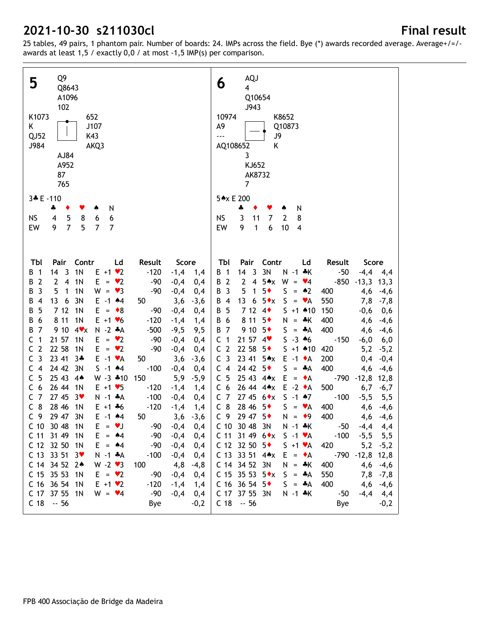| Q9<br>5<br>Q8643<br>A1096<br>102<br>K1073<br>652<br>K<br>J107<br>QJ52<br>K43<br>J984<br>AKQ3<br>AJ84<br>A952<br>87<br>765                                  | <b>AQJ</b><br>6<br>$\overline{4}$<br>Q10654<br>J943<br>10974<br>K8652<br>A9<br>Q10873<br><br>J9<br>AQ108652<br>Κ<br>3<br>KJ652<br>AK8732<br>$\overline{7}$ |
|------------------------------------------------------------------------------------------------------------------------------------------------------------|------------------------------------------------------------------------------------------------------------------------------------------------------------|
| 3* E-110                                                                                                                                                   | 5*x E 200                                                                                                                                                  |
| 4<br>N<br>٠<br>۸                                                                                                                                           | ÷<br>N                                                                                                                                                     |
| 5<br>NS<br>8<br>6<br>$\overline{4}$<br>6                                                                                                                   | <b>NS</b><br>3<br>11<br>7<br>$\overline{2}$<br>8                                                                                                           |
| $\overline{7}$<br>5<br>9<br>$\overline{7}$<br>EW<br>$\overline{7}$                                                                                         | 9<br>$\boldsymbol{6}$<br>EW<br>$\mathbf{1}$<br>10<br>$\overline{4}$                                                                                        |
|                                                                                                                                                            |                                                                                                                                                            |
| Contr<br>Result<br>Tbl<br>Pair<br>Ld<br>Score                                                                                                              | Pair<br>Contr<br>Tbl<br>Ld<br>Result<br>Score                                                                                                              |
| 1 <sub>N</sub><br>14 <sub>3</sub><br>$E + 1 \cdot 2$<br>$-120$<br>$\overline{1}$<br>$-1,4$ 1,4<br>В                                                        | 3N<br>14<br>$\overline{3}$<br>$N - 1$ $*K$<br>$-50$<br>B 1<br>$-4,4$ 4,4                                                                                   |
| $\overline{2}$<br>$\overline{4}$<br>1 <sub>N</sub><br>$\overline{2}$<br>E.<br>$= \bullet 2$<br>$-90$<br>$-0,4$<br>В<br>0,4                                 | $\mathbf{2}$<br>$\overline{\mathbf{4}}$<br>$5 \star x$<br>$W = \bullet 4$<br>B 2<br>$-850$<br>$-13,3$ 13,3                                                 |
| 5<br>1 <sub>N</sub><br>3<br>$\mathbf{1}$<br>$W = \bullet 3$<br>$-90$<br>$-0,4$<br>В<br>0,4                                                                 | 5<br>$5*$<br>S<br>B 3<br>$\bullet 2$<br>1<br>400<br>4,6<br>$-4,6$<br>$\equiv$                                                                              |
| 6<br>3N<br>$\overline{4}$<br>13<br>$E - 1$ $*4$<br>50<br>3,6<br>$-3,6$<br>В                                                                                | 13<br>$5 \cdot x$<br>S<br>6<br>$\mathbf{v}$ A<br>550<br>B 4<br>7,8<br>$-7,8$<br>$\qquad \qquad =$                                                          |
| 712<br>1 <sub>N</sub><br>5<br>$\bullet$ 8<br>$-0,4$<br>В<br>E.<br>-90<br>0,4<br>$\qquad \qquad =$                                                          | 7 12<br>5<br>$4\bullet$<br>$S + 1$ 410<br>150<br>$-0,6$<br>B<br>0,6                                                                                        |
| 8 1 1<br>1 <sub>N</sub><br>6<br>$E + 1$ $\blacktriangledown$ 6<br>$-120$<br>$-1,4$<br>1,4<br>В                                                             | 8 1 1<br>$5*$<br>B 6<br>N.<br>$=$ $\frac{1}{2}$ K<br>400<br>4,6<br>$-4,6$                                                                                  |
| 9 10<br>$\overline{7}$<br>$4$ $\times$<br>$N - 2 A$<br>$-500$<br>9,5<br>В<br>$-9,5$<br>$\mathbf{1}$<br>21 57<br>1 <sub>N</sub><br>$= \bullet 2$<br>C<br>E. | 9 10<br>$5*$<br>400<br><b>B</b> 7<br>$S = A$<br>4,6<br>$-4,6$<br>$S - 3 * 6$<br>C <sub>1</sub>                                                             |
| $-90$<br>0,4<br>$-0,4$<br>$\overline{2}$<br>22 58<br>1 <sub>N</sub><br>C<br>$= \bullet 2$<br>$-90$<br>$-0,4$<br>E.<br>0,4                                  | 21 57 4<br>$-150$<br>$-6,0$<br>6,0<br>C <sub>2</sub><br>22 58<br>$5*$<br>$S + 1$ 410<br>420<br>5,2<br>$-5,2$                                               |
| $\overline{3}$<br>23 41<br>C<br>$3*$<br>$E - 1 \cdot A$<br>50<br>3,6<br>$-3,6$                                                                             | C <sub>3</sub><br>23 41<br>5AX<br>$E -1$ $\bullet$ A<br>200<br>0,4<br>$-0,4$                                                                               |
| 24 42<br>$\overline{4}$<br>3N<br>$S - 1$ $*4$<br>$-100$<br>$-0,4$<br>C<br>0,4                                                                              | 24 42<br>$5*$<br>S<br>C <sub>4</sub><br>$+A$<br>400<br>4,6<br>$-4,6$<br>$\equiv$                                                                           |
| 5<br>25 43<br>$4*$<br>$W - 3$ $*10$<br>150<br>5,9<br>$-5,9$<br>C                                                                                           | C <sub>5</sub><br>25 43 4*x<br>E<br>$\bullet$ A<br>$-790$<br>$-12,8$<br>12,8<br>$\qquad \qquad =$                                                          |
| 6<br>26 44<br>1 <sub>N</sub><br>$E + 1 \cdot 5$<br>C<br>$-120$<br>$-1,4$<br>1,4                                                                            | 26 44 4*x<br>$E -2 \cdot A$<br>C <sub>6</sub><br>500<br>6,7<br>$-6,7$                                                                                      |
| $\overline{7}$<br>27 45<br>$3*$<br>$-100$<br>0,4<br>C<br>$N - 1$ $*A$<br>$-0,4$                                                                            | 27 45 $6*x$<br>$S - 1$ $*7$<br>C <sub>7</sub><br>$-100$<br>$-5,5$<br>5,5                                                                                   |
| 8<br>28 46<br>1 <sub>N</sub><br>С<br>$-120$<br>$E + 1 + 6$<br>$-1,4$<br>1,4                                                                                | $C_8$<br>28 46<br>$5*$<br>S.<br>$\mathbf{v}$ A<br>400<br>4,6<br>$-4,6$<br>$\equiv$                                                                         |
| 29 47 3N<br>C <sub>9</sub><br>$E - 1$ $*4$<br>50<br>$3,6 -3,6$                                                                                             | C <sub>9</sub><br>29 47 5+<br>$N = 9$<br>400<br>4,6<br>$-4,6$                                                                                              |
| C 10 30 48<br>$E = \bullet J$<br>$-90$<br>1 <sub>N</sub><br>$-0,4$<br>0,4                                                                                  | C 10 30 48 3N<br>$N - 1$ $*K$<br>$-50 -4,4 4,4$                                                                                                            |
| C 11 31 49<br>1N<br>$E = 44$<br>$-90$<br>$-0,4$<br>0,4                                                                                                     | C 11 31 49 $6 \cdot x$ S -1 $\cdot A$<br>$-100$<br>$-5,5$<br>5,5                                                                                           |
| C 12 32 50<br>$E = 44$<br>$-90$<br>1N<br>$-0,4$<br>0,4                                                                                                     | C 12 32 50 $5 \bullet$<br>$S + 1 \cdot A$<br>420<br>$5,2$ $-5,2$                                                                                           |
| C 13 33 51<br>3 <sup>9</sup><br>$N - 1$ $*A$<br>$-100$<br>$-0,4$<br>0,4                                                                                    | $-790 - 12,8$ 12,8<br>$C$ 13 33 51 4 $\star$ x<br>$E = \bullet A$                                                                                          |
| C 14 34 52 24<br>$W - 2 \cdot 3$<br>100<br>4,8<br>$-4,8$                                                                                                   | C 14 34 52 3N<br>$N = *K$<br>400<br>$4,6$ $-4,6$                                                                                                           |
| C 15 35 53<br>$E = \bullet 2$<br>$-90$<br>1N<br>$-0,4$<br>0,4                                                                                              | C 15 35 53 $5*x$<br>$S = A$<br>550<br>$7,8$ -7,8                                                                                                           |
| C 16 36 54 1N<br>$E + 1 \cdot 2$<br>$-120$<br>$-1,4$<br>1,4                                                                                                | C 16 36 54 5 $\bullet$<br>$S = A$<br>400<br>$4,6$ -4,6                                                                                                     |
| C 17 37 55 1N<br>$W = \blacktriangledown 4$<br>$-90$<br>$-0,4$<br>0,4                                                                                      | C 17 37 55 3N<br>$N - 1$ $*K$<br>$-4,4$ 4,4<br>-50                                                                                                         |
| $C$ 18 $-56$<br><b>Bye</b><br>$-0,2$                                                                                                                       | $C$ 18 $-56$<br>Bye<br>$-0,2$                                                                                                                              |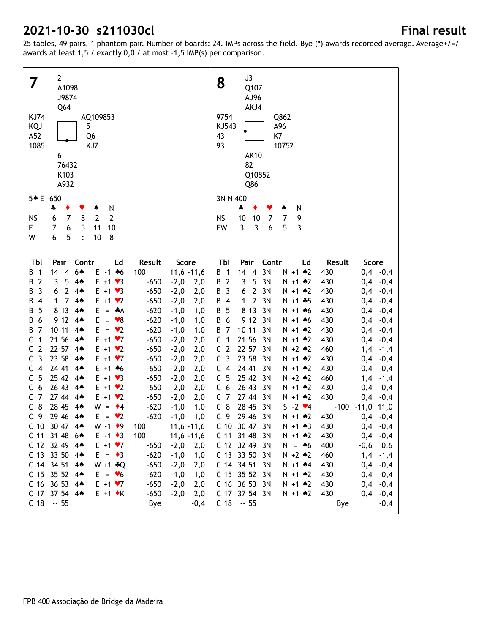| $\overline{2}$<br>7<br>A1098<br>J9874<br>Q64<br><b>KJ74</b><br>AQ109853<br>5<br>KQJ<br>┯<br>Q <sub>6</sub><br>A52<br>1085<br>KJ7<br>6<br>76432 |                                                    | J3<br>8<br>Q107<br>AJ96<br>AKJ4<br>9754<br>Q862<br>KJ543<br>A96<br>K7<br>43<br>93<br>10752<br><b>AK10</b><br>82 |
|------------------------------------------------------------------------------------------------------------------------------------------------|----------------------------------------------------|-----------------------------------------------------------------------------------------------------------------|
| K103<br>A932                                                                                                                                   |                                                    | Q10852<br>Q86                                                                                                   |
| 5* E-650                                                                                                                                       |                                                    | 3N N 400                                                                                                        |
| N<br>÷<br>٠<br>۸                                                                                                                               |                                                    | 4<br>N<br>♠                                                                                                     |
| $\overline{2}$<br>$\overline{7}$<br>$\overline{2}$<br><b>NS</b><br>6<br>8                                                                      |                                                    | 10<br>7<br><b>NS</b><br>10<br>7<br>9                                                                            |
| E<br>7<br>6<br>5<br>10<br>11                                                                                                                   |                                                    | $\overline{3}$<br>3<br>$\boldsymbol{6}$<br>5<br>EW<br>3                                                         |
| 5<br>W<br>6<br>$\ddot{\cdot}$<br>10<br>8                                                                                                       |                                                    |                                                                                                                 |
|                                                                                                                                                |                                                    |                                                                                                                 |
| Pair<br>Contr<br>Tbl<br>Ld                                                                                                                     | Result<br>Score                                    | Pair<br>Contr<br>Tbl<br>Ld<br>Result<br>Score                                                                   |
| 64<br>14<br>$E - 1$ 46<br>$\overline{1}$<br>$\overline{4}$<br>В                                                                                | 100<br>$11,6 -11,6$                                | 14<br>$\overline{4}$<br>3N<br>430<br>$0,4$ -0,4<br>B 1<br>$N + 1$ $*2$                                          |
| $\overline{2}$<br>3<br>5<br>$4*$<br>$E + 1 \cdot 3$<br>В                                                                                       | $-650$<br>$-2,0$<br>2,0                            | 5<br>B 2<br>3<br>3N<br>430<br>$0,4$ -0,4<br>$N + 1$ $*2$                                                        |
| 3<br>$\overline{2}$<br>4A<br>В<br>6<br>$E + 1 \cdot 3$                                                                                         | $-650$<br>$-2,0$<br>2,0                            | $\mathbf{2}$<br>3N<br>$\overline{\mathbf{3}}$<br>6<br>$N + 1$ $*2$<br>430<br>0,4<br>В<br>$-0,4$                 |
| $\overline{7}$<br>4A<br>$\overline{4}$<br>В<br>1<br>$E + 1$ $\vee$ 2                                                                           | $-650$<br>2,0<br>$-2,0$                            | $\overline{7}$<br>3N<br>430<br>0,4<br>В<br>$\overline{4}$<br>1<br>$N + 1 + 5$<br>$-0,4$                         |
| 8 1 3<br>5<br>4A<br>Е<br>$+A$<br>В<br>$=$<br>9 12<br>6<br>4A<br>Е<br>$\mathbf{\bullet}8$<br>В<br>$=$                                           | $-620$<br>$-1,0$<br>1,0<br>$-620$                  | 8 1 3<br>3N<br>5<br>430<br>0,4<br>В<br>$N + 1$ 46<br>$-0,4$<br>6<br>9 12<br>3N<br>B<br>430<br>0,4<br>$N + 1$ 46 |
| 7<br>10 11<br>В<br>$4*$<br>E.<br>$\mathbf{v}$<br>$\qquad \qquad =$                                                                             | 1,0<br>-1,0<br>$-620$<br>1,0<br>-1,0               | $-0,4$<br>3N<br>-7<br>10 11<br>430<br>0,4<br>В<br>$N + 1$ $*2$<br>$-0,4$                                        |
| $\mathbf{1}$<br>21 56<br>С<br>4 <sub>•</sub><br>$E + 1 \cdot 7$                                                                                | $-650$<br>2,0<br>$-2,0$                            | 21 56<br>3N<br>$\overline{\mathbf{1}}$<br>$N + 1$ $*2$<br>430<br>0,4<br>C<br>$-0,4$                             |
| $\overline{2}$<br>22 57<br>C<br>4 <sub>•</sub><br>$E + 1 \cdot 2$                                                                              | $-650$<br>2,0<br>$-2,0$                            | C <sub>2</sub><br>22 57<br>3N<br>$N + 2 * 2$<br>460<br>1,4<br>$-1,4$                                            |
| $\overline{3}$<br>23 58<br>C<br>$4*$<br>$E + 1 \cdot 7$                                                                                        | $-650$<br>2,0<br>$-2,0$                            | C <sub>3</sub><br>23 58<br>3N<br>430<br>$N + 1$ $*2$<br>0,4<br>$-0,4$                                           |
| 24 41<br>$\overline{4}$<br>$4*$<br>$E + 1$ 46<br>С                                                                                             | $-650$<br>2,0<br>$-2,0$                            | 24 41<br>430<br>C <sub>4</sub><br>3N<br>$N + 1$ $*2$<br>0,4<br>$-0,4$                                           |
| 5<br>25 42<br>$4*$<br>$E + 1 \cdot 3$<br>C                                                                                                     | $-650$<br>2,0<br>$-2,0$                            | 5<br>25 42<br>3N<br>$N + 2$ $*2$<br>460<br>C<br>1,4<br>$-1,4$                                                   |
| 6<br>26 43<br>$4*$<br>$E + 1$ $\vee$ 2<br>C                                                                                                    | $-650$<br>$-2,0$<br>2,0                            | C <sub>6</sub><br>26 43<br>3N<br>$N + 1$ $*2$<br>430<br>0,4<br>$-0,4$                                           |
| $\overline{7}$<br>27 44<br>$4*$<br>$E + 1$ $\vee$ 2<br>C                                                                                       | $-650$<br>2,0<br>$-2,0$                            | C <sub>7</sub><br>27 44<br>3N<br>$N + 1$ $*2$<br>430<br>0,4<br>$-0,4$                                           |
| 8<br>28 45<br>$4*$<br>$W =$<br>C<br>$\bullet$ 4                                                                                                | $-620$<br>1,0<br>$-1,0$                            | $C_8$<br>28 45<br>3N<br>$S - 2 \cdot 4$<br>$-100$<br>$-11,0$ 11,0                                               |
| C <sub>9</sub><br>29 46 44<br>$E = \bullet 2$                                                                                                  | $-620$<br>$-1,0$<br>1,0                            | C <sub>9</sub><br>29 46 3N<br>$N + 1$ $*2$<br>430<br>$0,4$ -0,4                                                 |
| C 10 30 47 4*<br>$W - 1$ $\bullet$ 9                                                                                                           | $11,6 -11,6$<br>100                                | C 10 30 47 3N<br>$N + 1$ $*3$<br>430<br>$0,4$ -0,4                                                              |
| C 11 31 48 64<br>$E - 1 \cdot 3$                                                                                                               | 100<br>$11,6 - 11,6$                               | 430<br>$0,4$ -0,4<br>C 11 31 48 3N<br>$N + 1$ $*2$                                                              |
| C 12 32 49 44<br>$E + 1$ $V$                                                                                                                   | $-650$<br>$-2,0$<br>2,0                            | C 12 32 49 3N<br>$N = 46$<br>400<br>$-0,6$<br>0,6                                                               |
| C 13 33 50 44<br>$E = \bullet 3$                                                                                                               | $-620$<br>$-1,0$<br>1,0                            | C 13 33 50 3N<br>460<br>$1,4$ -1,4<br>$N + 2$ $*2$                                                              |
| $W + 1 + Q$<br>C 14 34 51 44<br>C 15 35 52 44<br>$E = \bullet 6$                                                                               | $-650$<br>$-2,0$<br>2,0                            | C 14 34 51 3N<br>$N + 1$ $*4$<br>430<br>$0,4$ -0,4<br>C 15 35 52 3N<br>$N + 1$ $*2$<br>430<br>$0,4$ -0,4        |
| C 16 36 53 44<br>$E + 1 \cdot 7$                                                                                                               | $-620$<br>$-1,0$<br>1,0<br>$-650$<br>2,0<br>$-2,0$ | C 16 36 53 3N<br>$N + 1$ $*2$<br>430<br>$0,4$ -0,4                                                              |
| C 17 37 54 44<br>$E + 1$ $\star$ K                                                                                                             | $-650$<br>$-2,0$<br>2,0                            | C 17 37 54 3N<br>430<br>0,4<br>$N + 1$ $*2$<br>$-0,4$                                                           |
| $C$ 18 $-55$                                                                                                                                   | Bye<br>$-0,4$                                      | $C$ 18 $-55$<br>Bye<br>$-0,4$                                                                                   |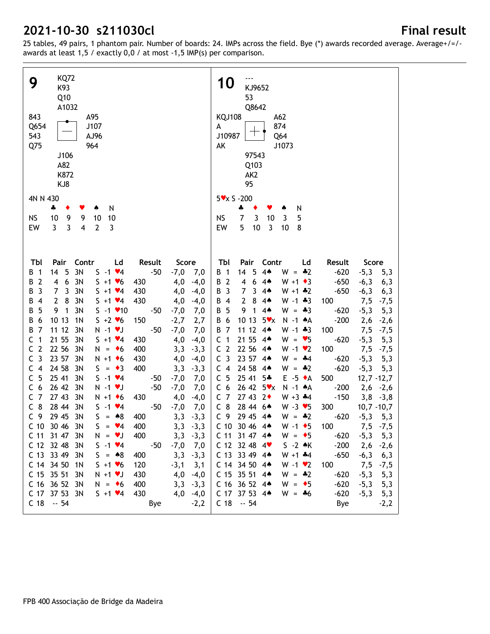| <b>KQ72</b><br>9<br>K93<br>Q10<br>A1032<br>843<br>A95<br>J107<br>Q654<br>AJ96<br>543<br>Q75<br>964<br>J106<br>A82<br>K872<br>KJ8                | <b>10</b><br>KJ9652<br>53<br>Q8642<br><b>KQJ108</b><br>A62<br>874<br>A<br>$+ \cdot$<br>J10987<br>Q64<br>AK<br>J1073<br>97543<br>Q103<br>AK <sub>2</sub><br>95          |
|-------------------------------------------------------------------------------------------------------------------------------------------------|------------------------------------------------------------------------------------------------------------------------------------------------------------------------|
| 4N N 430                                                                                                                                        | $5x \times 5 - 200$                                                                                                                                                    |
| N<br>4<br>٠<br>۸<br>v                                                                                                                           | 4<br>٠<br>N<br>v                                                                                                                                                       |
| 9<br><b>NS</b><br>10<br>9<br>10<br>10                                                                                                           | $\mathbf{3}$<br><b>NS</b><br>7<br>10<br>3<br>5                                                                                                                         |
| $\overline{3}$<br>EW<br>3<br>$\mathbf{2}$<br>4<br>3                                                                                             | 5<br>$10$<br>3<br>EW<br>10<br>8                                                                                                                                        |
|                                                                                                                                                 |                                                                                                                                                                        |
| Contr<br>Tbl<br>Pair<br>Ld<br>Result<br>Score                                                                                                   | Tbl<br>Contr<br>Pair<br>Ld<br>Result<br>Score                                                                                                                          |
| 3N<br>14<br>- 5<br>$S - 1$ $*4$<br>$-50$<br>$-7,0$<br>$\overline{1}$<br>7,0<br>B                                                                | B 1<br>14<br>5<br>$4*$<br>$W = -2$<br>$-620$<br>$-5,3$<br>5,3                                                                                                          |
| $\overline{2}$<br>3N<br>6<br>$S + 1 \cdot 6$<br>4,0<br>B<br>4<br>430<br>$-4,0$<br>3<br>3<br>3N<br>$\overline{7}$<br>$S + 1 \cdot 4$<br>430<br>В | B 2<br>6<br>$4*$<br>$W + 1$ $\triangleleft$ 3<br>$-650$<br>4<br>$-6,3$<br>6,3<br>$\overline{7}$<br>B<br>$\overline{\mathbf{3}}$<br>3<br>$W + 1$ $*2$<br>$-650$<br>$4*$ |
| 4,0<br>$-4,0$<br>3N<br>$\mathbf{2}$<br>8<br>$S + 1 \cdot 4$<br>430<br>В<br>4,0<br>$-4,0$<br>4                                                   | $-6,3$<br>6,3<br>$\overline{2}$<br>8<br>4 <sub>•</sub><br>$W - 1$ $*3$<br>100<br>В<br>$\overline{4}$<br>7,5                                                            |
| 3N<br>$S - 1$ / 10<br>5<br>9<br>1<br>В<br>$-50$<br>$-7,0$<br>7,0                                                                                | $-7,5$<br>9<br>B<br>5<br>1<br>$4*$<br>$W = -3$<br>$-620$<br>$-5,3$<br>5,3                                                                                              |
| 6<br>10 13<br>$S + 2 \times 6$<br>150<br>1 <sub>N</sub><br>В<br>$-2,7$<br>2,7                                                                   | 10 13<br>B<br>6<br>5xx<br>N -1 AA<br>$-200$<br>2,6<br>$-2,6$                                                                                                           |
| 7<br>11 12<br>3N<br>$N - 1$ $V$<br>$-50$<br>В<br>$-7,0$<br>7,0                                                                                  | $\overline{7}$<br>B<br>11 12<br>$4*$<br>$W - 1 + 3$<br>100<br>7,5<br>$-7,5$                                                                                            |
| $\mathbf{1}$<br>21 55<br>3N<br>$S + 1 \cdot 4$<br>430<br>С<br>4,0<br>$-4,0$                                                                     | $\overline{1}$<br>21 55<br>$W = \bullet 5$<br>$-620$<br>C<br>$4*$<br>$-5,3$<br>5,3                                                                                     |
| $\overline{2}$<br>22 56<br>С<br>3N<br>400<br>$N = 6$<br>3,3<br>$-3,3$                                                                           | C <sub>2</sub><br>22 56<br>$W - 1$ $\bullet$ 2<br>100<br>$4*$<br>7,5<br>$-7,5$                                                                                         |
| 3<br>23 57<br>3N<br>$N + 1$ + 6<br>430<br>С<br>4,0<br>$-4,0$                                                                                    | C <sub>3</sub><br>23 57 44<br>$W = -4$<br>$-620$<br>$-5,3$<br>5,3                                                                                                      |
| 24 58<br>$\overline{4}$<br>400<br>C<br>3N<br>$S = \bullet 3$<br>3,3<br>$-3,3$                                                                   | 24 58<br>C <sub>4</sub><br>$W = -2$<br>$-620$<br>$-5,3$<br>$4*$<br>5,3                                                                                                 |
| 5<br>25 41<br>$S - 1 \cdot 4$<br>3N<br>C<br>$-7,0$<br>7,0<br>-50                                                                                | C <sub>5</sub><br>25 41<br>$E - 5 \cdot A$<br>$5*$<br>$12,7 - 12,7$<br>500                                                                                             |
| 26 42<br>6<br>3N<br>$N - 1$ $V$<br>$-50$<br>C<br>$-7,0$<br>7,0                                                                                  | 26 42 5*x<br>C <sub>6</sub><br>$N - 1$ $A$<br>$-200$<br>$2,6 -2,6$                                                                                                     |
| $\overline{7}$<br>27 43<br>3N<br>$N + 1$ + 6<br>430<br>C<br>4,0<br>$-4,0$                                                                       | C <sub>7</sub><br>27 43 2<br>$W + 3 + 4$<br>$-150$<br>$3,8$ -3,8                                                                                                       |
| 8<br>28 44<br>3N<br>$S - 1$ $*4$<br>C<br>-50<br>$-7,0$<br>7,0                                                                                   | $C_8$<br>28 44 6*<br>$W - 3 \times 5$<br>300<br>$10,7 - 10,7$                                                                                                          |
| 29 45 3N<br>C <sub>9</sub><br>$S = 8$<br>400<br>3,3<br>$-3,3$                                                                                   | C <sub>9</sub><br>29 45 44<br>$W = -2$<br>$-620$<br>$-5,3$<br>5,3                                                                                                      |
| C 10 30 46 3N<br>$S = \vee 4$<br>400<br>$3,3 -3,3$                                                                                              | $W - 1$ + 5<br>100<br>C 10 30 46 4<br>7,5<br>$-7,5$                                                                                                                    |
| C 11 31 47 3N<br>400<br>$-3,3$<br>$N = \bullet J$<br>3,3                                                                                        | C 11 31 47 44<br>$W = \bullet 5$<br>$-620$<br>$-5,3$<br>5,3                                                                                                            |
| C 12 32 48<br>$5 - 1$ $4$<br>$-50$<br>3N<br>$-7,0$<br>7,0                                                                                       | $S - 2$ $\star$ K<br>$C$ 12 32 48 4 $\bullet$<br>$-200$<br>$2,6 -2,6$                                                                                                  |
| C 13 33 49<br>$S = 8$<br>400<br>3N<br>3,3<br>$-3,3$                                                                                             | C 13 33 49 4*<br>$W + 1$ $*4$<br>$-650$<br>$-6,3$<br>6,3                                                                                                               |
| C 14 34 50<br>$S + 1 \cdot 6$<br>120<br>$-3,1$<br>1N<br>3,1                                                                                     | C 14 34 50 44<br>$W - 1$ $\vee$ 2<br>100<br>7,5<br>$-7,5$                                                                                                              |
| C 15 35 51<br>$N + 1$ $V$<br>430<br>4,0<br>3N<br>$-4,0$                                                                                         | C 15 35 51 44<br>$W = -2$<br>$-620$<br>$-5,3$<br>5,3                                                                                                                   |
| C 16 36 52 3N<br>400<br>$N = \bullet 6$<br>3,3<br>$-3,3$                                                                                        | C 16 36 52 4*<br>$W = \bullet 5$<br>$-620$<br>$-5,3$<br>5,3                                                                                                            |
| C 17 37 53 3N<br>$S + 1 \cdot 4$<br>430<br>4,0<br>$-4,0$                                                                                        | C 17 37 53 4*<br>$W = *6$<br>$-620$<br>$-5,3$<br>5,3                                                                                                                   |
| C 18 -- 54<br>Bye<br>$-2,2$                                                                                                                     | C 18 -- 54<br>Bye<br>$-2,2$                                                                                                                                            |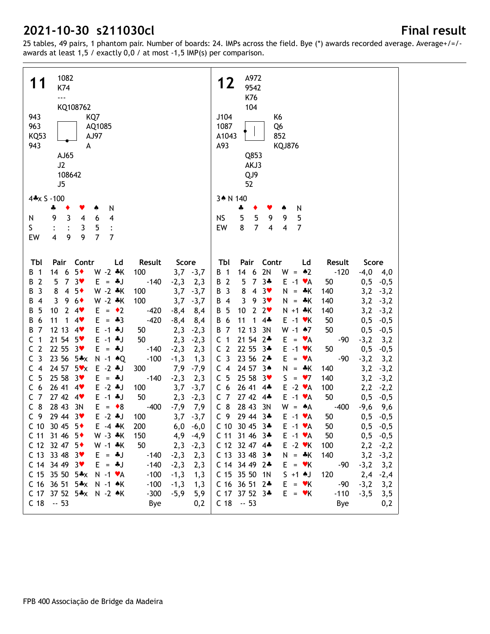| 1082<br>11<br>K74<br>$\overline{\phantom{a}}$<br>KQ108762<br>943<br>KQ7<br>963<br>AQ1085<br><b>KQ53</b><br>AJ97<br>943<br>A<br>AJ65<br>J2<br>108642<br>J5                                     |                                | A972<br>12<br>9542<br>K76<br>104<br>J104<br>K6<br>1087<br>Q <sub>6</sub><br>852<br>A1043<br>A93<br><b>KQJ876</b><br>Q853<br>AKJ3<br>QJ9<br>52              |
|-----------------------------------------------------------------------------------------------------------------------------------------------------------------------------------------------|--------------------------------|------------------------------------------------------------------------------------------------------------------------------------------------------------|
| 4*x S -100                                                                                                                                                                                    |                                | 3* N 140                                                                                                                                                   |
| N<br>4<br>Y<br>۸<br>٠<br>$\overline{\mathbf{3}}$<br>9<br>$\overline{\mathbf{4}}$<br>6<br>N<br>4<br>S<br>3<br>5<br>9<br>$\overline{7}$<br>$\overline{\mathbf{4}}$<br>9<br>$\overline{7}$<br>EW |                                | N<br>÷<br>٠<br>♠<br>5<br>5<br>9<br>5<br><b>NS</b><br>9<br>$\overline{7}$<br>8<br>EW<br>$\overline{\mathbf{4}}$<br>4<br>$\overline{7}$                      |
| Contr<br>Result<br>Tbl<br>Pair<br>Ld                                                                                                                                                          | Score                          | Pair<br>Contr<br>Tbl<br>Ld<br>Result<br>Score                                                                                                              |
| $5*$<br>$W - 2 * K$<br>14<br>6<br>100<br>1<br>В                                                                                                                                               | $3,7 -3,7$                     | 2N<br>$W = 2$<br>14<br>6<br>$-120$<br>$-4,0$ 4,0<br>B 1                                                                                                    |
| $\overline{7}$<br>$3*$<br>$\overline{2}$<br>5<br>$E = -1$<br>$-140$<br>B<br>3<br>8<br>$5*$<br>W -2 *K<br>$\overline{4}$                                                                       | 2,3<br>$-2,3$                  | B 2<br>5<br>$\overline{7}$<br>$3 +$<br>$E - 1$ $\forall A$<br>$0,5 -0,5$<br>50<br>8<br>B 3<br>4<br>$3*$<br>$N =$<br>140                                    |
| B<br>100<br>W -2 *K<br>3<br>9<br>$6*$<br>100<br>В<br>4                                                                                                                                        | 3,7<br>$-3,7$<br>$-3,7$<br>3,7 | 3,2<br>$-3,2$<br>⊹K<br>B 4<br>3<br>9<br>3<br>–∗K<br>3,2<br>$N =$<br>140<br>$-3,2$                                                                          |
| 5<br>$E = \cdot 2$<br>10<br>$\mathbf{2}$<br>4<br>В<br>$-420$                                                                                                                                  | $-8,4$<br>8,4                  | 10<br>5<br>$\overline{2}$<br>2 <sub>v</sub><br>$N + 1$ $*K$<br>140<br>3,2<br>В<br>$-3,2$                                                                   |
| $-420$<br>6<br>11<br>1<br>$4*$<br>$E = -3$<br>В                                                                                                                                               | $-8,4$<br>8,4                  | $\overline{6}$<br>11<br>$4\clubsuit$<br>$E - 1$ $\forall$ K<br>50<br>0, 5<br>В<br>1<br>$-0,5$                                                              |
| 7<br>12 13<br>$E - 1$ $*J$<br>4<br>В<br>50                                                                                                                                                    | 2,3<br>$-2,3$                  | 12 13<br>3N<br>$W - 1$ $*7$<br><b>B</b> 7<br>50<br>0, 5<br>$-0,5$                                                                                          |
| 1<br>21 54<br>$5*$<br>$E - 1$ $*J$<br>с<br>50                                                                                                                                                 | $-2,3$<br>2,3                  | C <sub>1</sub><br>21 54<br>$2*$<br>$E =$<br>$-3,2$<br>VA<br>$-90$<br>3,2                                                                                   |
| $\overline{2}$<br>22 55<br>3 <sub>v</sub><br>C<br>$E = 4J$<br>$-140$                                                                                                                          | $-2,3$<br>2,3                  | C <sub>2</sub><br>22 55<br>$3*$<br>$E - 1$ $\forall$ K<br>50<br>0,5<br>$-0,5$                                                                              |
| 3<br>23 56<br>$5*x$<br>C<br>$N - 1$ $\triangle Q$<br>$-100$                                                                                                                                   | $-1,3$<br>1,3                  | C <sub>3</sub><br>23 56<br>E.<br>$2*$<br>$-90$<br>$-3,2$<br>VA<br>3,2<br>$\qquad \qquad =$                                                                 |
| $\overline{\mathbf{4}}$<br>24 57<br>5x<br>$E - 2$ $*J$<br>C<br>300                                                                                                                            | 7,9<br>$-7,9$                  | C <sub>4</sub><br>24 57<br>N<br>$3*$<br>⊹ K<br>140<br>3,2<br>$-3,2$<br>$\equiv$                                                                            |
| 25 58<br>5<br>$3*$<br>С<br>$E = 4J$<br>$-140$                                                                                                                                                 | $-2,3$<br>2,3                  | 5<br>25 58<br>S.<br>$\bullet$ 7<br>$\mathsf{C}$<br>$3*$<br>140<br>3,2<br>$\equiv$<br>$-3,2$                                                                |
| 26 41<br>$E - 2$ $*J$<br>C<br>6<br>4<br>100<br>$\overline{7}$<br>27 42<br>$E - 1$ $*J$<br>4<br>50<br>C                                                                                        | 3,7<br>$-3,7$<br>$-2,3$        | 26 41<br>$E - 2 \cdot A$<br>C <sub>6</sub><br>100<br>$4*$<br>2,2<br>$-2,2$<br>27 42<br>C <sub>7</sub><br>$4*$<br>$E -1$ $\forall A$<br>50<br>0,5<br>$-0,5$ |
| 8<br>28 43<br>C<br>3N<br>$E = \bullet 8$<br>$-400$                                                                                                                                            | 2,3<br>$-7,9$<br>7,9           | $C_8$<br>28 43<br>3N<br>$W =$<br>$\clubsuit$ A<br>$-400$<br>$-9,6$<br>9,6                                                                                  |
| C <sub>9</sub><br>29 44 3<br>$E - 2$ $*J$<br>100                                                                                                                                              | 3,7<br>$-3,7$                  | C <sub>9</sub><br>29 44 3*<br>$E -1$ $\forall A$<br>50<br>0, 5<br>$-0,5$                                                                                   |
| C 10 30 45 $5*$<br>$E - 4 * K$<br>200                                                                                                                                                         | 6,0<br>$-6,0$                  | C 10 30 45 3*<br>$E -1$ $\forall A$<br>50<br>$0,5 -0,5$                                                                                                    |
| C 11 31 46<br>$W - 3 * K$<br>$5*$<br>150                                                                                                                                                      | 4,9<br>$-4,9$                  | $0,5 -0,5$<br>C 11 31 46 3∗<br>$E -1$ $\forall A$<br>50                                                                                                    |
| C 12 32 47 5+<br>$W - 1$ $*K$<br>50                                                                                                                                                           | 2,3<br>$-2,3$                  | C 12 32 47 4*<br>$E - 2$ $\blacktriangledown$ K<br>100<br>$2,2$ -2,2                                                                                       |
| C 13 33 48<br>$E = *J$<br>$-140$<br>-3♥                                                                                                                                                       | $-2,3$<br>2,3                  | C 13 33 48 34<br>$N = *K$<br>140<br>$3,2 -3,2$                                                                                                             |
| $C$ 14 34 49 3 $\bullet$<br>$E = -1$<br>$-140$                                                                                                                                                | $-2,3$<br>2,3                  | $E = vK$<br>C 14 34 49 2÷<br>$-90$<br>$-3,2$<br>3,2                                                                                                        |
| C 15 35 50 $5*x$<br>$N - 1$ $\forall A$<br>$-100$                                                                                                                                             | $-1,3$<br>1,3                  | C 15 35 50 1N<br>$S + 1$ AJ<br>120<br>$2,4 -2,4$                                                                                                           |
| C 16 36 51<br>$-100$<br>$5*x$<br>N -1 AK                                                                                                                                                      | 1,3<br>$-1,3$                  | C 16 36 51 2*<br>$E = vK$<br>$-90$<br>$-3,2$<br>3,2                                                                                                        |
| C 17 37 52 5*x N -2 *K<br>$-300$                                                                                                                                                              | 5,9<br>$-5,9$                  | C 17 37 52 3*<br>$E = vK$<br>$-110$<br>$-3,5$<br>3,5                                                                                                       |
| $C$ 18 $-53$<br>Bye                                                                                                                                                                           | 0,2                            | $C$ 18 $-53$<br>Bye<br>0,2                                                                                                                                 |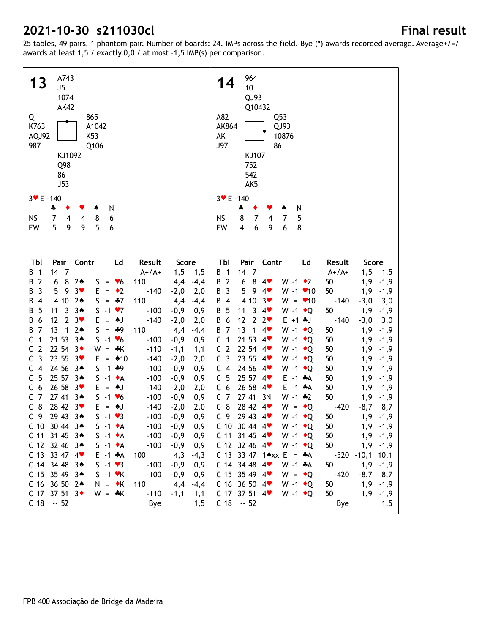| A743<br><b>13</b><br>J5<br>1074<br><b>AK42</b><br>865<br>Q<br>K763<br>A1042<br>K53<br>AQJ92<br>987<br>Q106<br>KJ1092<br>Q98<br>86<br><b>J53</b> | 964<br>14<br>10<br>QJ93<br>Q10432<br>A82<br>Q53<br>AK864<br>QJ93<br>10876<br>AK<br>J97<br>86<br>KJ107<br>752<br>542<br>AK5 |
|-------------------------------------------------------------------------------------------------------------------------------------------------|----------------------------------------------------------------------------------------------------------------------------|
| $3 \times E - 140$                                                                                                                              | $3 \times E - 140$                                                                                                         |
| N<br>4<br>۸                                                                                                                                     | N<br>÷                                                                                                                     |
| <b>NS</b><br>8<br>6<br>7<br>4<br>4                                                                                                              | 5<br><b>NS</b><br>8<br>7<br>7<br>4                                                                                         |
| 5<br>9<br>EW<br>9<br>5<br>6                                                                                                                     | $\boldsymbol{6}$<br>EW<br>6<br>9<br>8<br>4                                                                                 |
|                                                                                                                                                 |                                                                                                                            |
| Pair Contr<br>Result<br>TЫ<br>Ld<br>Score                                                                                                       | Tbl<br>Pair Contr<br>Ld<br>Result<br>Score                                                                                 |
| 14 7<br>$A+ / A+$<br>1, 5<br>$\overline{1}$<br>1,5<br>B                                                                                         | B 1<br>14<br>$\overline{7}$<br>$A+ / A+$<br>1, 5<br>1,5                                                                    |
| $\overline{2}$<br>8<br>$2*$<br>6<br>110<br>4,4<br>$-4,4$<br>B<br>$= 86$<br>S.                                                                   | B 2<br>8<br>1,9<br>6<br>50<br>$-1,9$<br>4<br>$W - 1$ $\bullet$ 2                                                           |
| $\mathbf{3}$<br>$3*$<br>$= 2$<br>5<br>9<br>E<br>$-140$<br>$-2,0$<br>B<br>2,0                                                                    | 9.4<br>50<br>1,9<br>B 3<br>5<br>$W - 1$ $\times$ 10<br>$-1,9$                                                              |
| $2*$<br>$= 47$<br>110<br>4 10<br>S<br>4,4<br>$-4,4$<br>4<br>В                                                                                   | 4 10<br>$3*$<br>$W = 10$<br>$-140$<br>$-3,0$<br>B 4<br>3,0                                                                 |
| $3*$<br>$S - 1 \cdot 7$<br>5<br>11<br>3<br>$-0,9$<br>0,9<br>$-100$<br>В                                                                         | 3<br>$W - 1$ + Q<br>50<br>B 5<br>11<br>4<br>1,9<br>$-1,9$                                                                  |
| 12<br>$\mathbf{2}$<br>$3*$<br>6<br>$=$ $\bullet$ J<br>$-140$<br>$-2,0$<br>2,0<br>B<br>Е                                                         | B 6<br>12<br>$\mathbf{2}$<br>2 <sub>v</sub><br>$E + 1 + J$<br>$-140$<br>$-3,0$<br>3,0                                      |
| $\overline{7}$<br>13<br>$2*$<br>1<br>$S = *9$<br>110<br>4,4<br>$-4,4$<br>B<br>21 53<br>$3*$<br>$S - 1$ $\vee 6$<br>1                            | 13<br>$\mathbf{1}$<br>50<br>1,9<br>B 7<br>4<br>W -1 $\bullet$ Q<br>$-1,9$<br>21 53<br>C <sub>1</sub>                       |
| $-0,9$<br>0,9<br>C<br>$-100$<br>C<br>2<br>22 54<br>$3\bullet$<br>$W =$<br>∗K<br>$-110$                                                          | 50<br>1,9<br>W -1 $\bullet$ Q<br>$-4$<br>$-1,9$<br>C <sub>2</sub><br>22 54 4<br>50<br>1,9<br>W -1 $\bullet$ Q              |
| 1,1<br>$-1,1$<br>$\overline{3}$<br>23 55<br>C<br>$3\bullet$<br>$E = 10$<br>$-140$<br>$-2,0$<br>2,0                                              | $-1,9$<br>C <sub>3</sub><br>23 55 4<br>50<br>1,9<br>W -1 $\bullet$ Q<br>$-1,9$                                             |
| $\overline{4}$<br>24 56<br>$S - 1$ $*9$<br>$3*$<br>$-100$<br>$-0,9$<br>0,9<br>C                                                                 | C <sub>4</sub><br>24 56 4<br>50<br>1,9<br>W -1 $\bullet$ Q<br>$-1,9$                                                       |
| 5<br>25 57<br>$3*$<br>$S -1$ $\bullet$ A<br>$-100$<br>$-0,9$<br>0,9<br>C                                                                        | C <sub>5</sub><br>25 57 4<br>50<br>$E - 1$ $A$<br>1,9<br>$-1,9$                                                            |
| 6<br>26 58<br>$3*$<br>▲J<br>$-140$<br>2,0<br>C<br>Е<br>$-2,0$<br>$=$                                                                            | C <sub>6</sub><br>26 58<br>50<br>1,9<br>4<br>$E - 1$ $A$<br>$-1,9$                                                         |
| $\overline{7}$<br>27 41<br>$3*$<br>$S - 1 \cdot 6$<br>$-100$<br>$-0,9$<br>0,9<br>C                                                              | C <sub>7</sub><br>27 41<br>3N<br>50<br>$W - 1$ $*2$<br>1,9<br>$-1,9$                                                       |
| 8<br>28 42<br>$3*$<br>$\mathsf{C}$<br>▲J<br>$-140$<br>$-2,0$<br>2,0<br>Е<br>$\equiv$                                                            | $C_8$<br>28 42 4<br>$W = \cdot Q$<br>$-420$<br>$-8,7$<br>8,7                                                               |
| C <sub>9</sub><br>29 43<br>$S - 1 \cdot 3$<br>0,9<br>$3*$<br>$-100$<br>$-0,9$                                                                   | C <sub>9</sub><br>29 43 4<br>W -1 $\bullet$ Q<br>1,9<br>50<br>$-1,9$                                                       |
| C 10 30 44 3*<br>$S -1$ $\bullet$ A<br>$-100 -0,9 0,9$                                                                                          | C 10 30 44 4 $\bullet$ W -1 $\bullet$ Q<br>50<br>$1,9$ -1,9                                                                |
| $-0,9$<br>C 11 31 45 34<br>$S -1 \cdot A$<br>$-100$<br>0,9                                                                                      | $1,9$ -1,9<br>$C$ 11 31 45 4 $\bullet$<br>$W - 1$ + Q<br>50                                                                |
| C 12 32 46 3*<br>$S -1$ $\bullet$ A<br>$-100$<br>$-0,9$<br>0,9                                                                                  | C 12 32 46 4<br>$W - 1$ + Q<br>$1,9$ -1,9<br>50                                                                            |
| C 13 33 47 4<br>$E -1$ $*A$<br>100<br>4,3<br>$-4,3$                                                                                             | C 13 33 47 1*** E = *A<br>-520 -10,1 10,1                                                                                  |
| $S - 1 \cdot 3$<br>C 14 34 48 34<br>$-100$<br>$-0,9$<br>0,9                                                                                     | $C$ 14 34 48 4<br>$W - 1$ $*A$<br>50<br>$1,9$ -1,9                                                                         |
| C 15 35 49 3*<br>$S -1$ $\forall$ K<br>$-100$<br>$-0,9$<br>0,9                                                                                  | $C$ 15 35 49 4 $\bullet$<br>$W = \bullet Q$<br>$-420$<br>$-8,7$ 8,7                                                        |
| C 16 36 50 2*<br>$N = \cdot K$<br>$-4,4$<br>110<br>4,4                                                                                          | C 16 36 50 4<br>$W - 1$ + Q<br>1,9<br>50<br>$-1,9$                                                                         |
| $C$ 17 37 51 3 $\bullet$<br>$-110$<br>$W = *K$<br>$-1,1$<br>1,1                                                                                 | C 17 37 51 4<br>$W - 1$ + Q<br>50<br>1,9<br>$-1,9$                                                                         |
| $C$ 18 $-52$<br>Bye<br>1, 5                                                                                                                     | $C$ 18 $-52$<br>Bye<br>1,5                                                                                                 |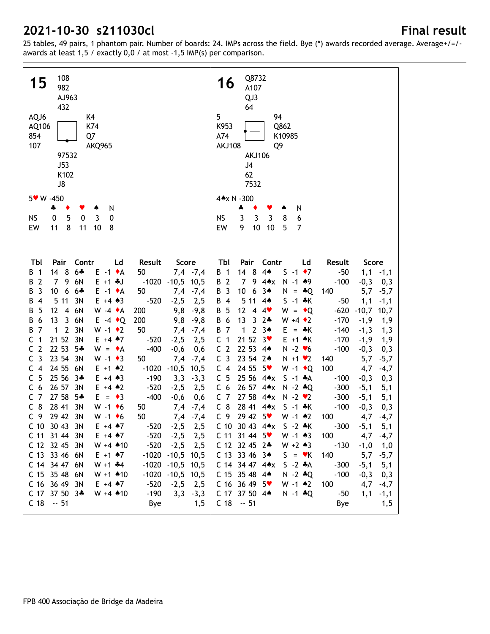| 108<br>15<br>982<br>AJ963<br>432<br>AQJ6<br>K4<br>K74<br>AQ106<br>854<br>Q7<br>107<br>AKQ965<br>97532<br><b>J53</b><br>K102<br>J8                                     | Q8732<br>16<br>A107<br>QJ3<br>64<br>5<br>94<br>K953<br>Q862<br>A74<br>K10985<br><b>AKJ108</b><br>Q9<br><b>AKJ106</b><br>J4<br>62<br>7532 |
|-----------------------------------------------------------------------------------------------------------------------------------------------------------------------|------------------------------------------------------------------------------------------------------------------------------------------|
| $5 \times W - 450$                                                                                                                                                    | 4*x N -300                                                                                                                               |
| 4<br>N<br>٠<br>Y<br>۸                                                                                                                                                 | N<br>÷<br>٠                                                                                                                              |
| 5<br>$\pmb{0}$<br><b>NS</b><br>0<br>3<br>0<br>8<br>11<br>EW<br>11<br>10<br>8                                                                                          | 3<br>$\mathbf{3}$<br>3<br>8<br><b>NS</b><br>6<br>9<br>10<br>EW<br>10<br>5<br>$\overline{7}$                                              |
|                                                                                                                                                                       |                                                                                                                                          |
| Pair<br>Contr<br>TЫ<br>Ld<br>Result<br>Score                                                                                                                          | Pair Contr<br>Tbl<br>Ld<br>Result<br>Score                                                                                               |
| $14 \quad 8$<br>$6 +$<br>$E -1$ $\star$ A<br>$7,4$ -7,4<br>50<br>B<br>$\overline{1}$                                                                                  | $4*$<br>$14 \quad 8$<br>$S -1$ $\rightarrow 7$<br>$-50$<br><b>B</b> 1<br>$1,1$ $-1,1$                                                    |
| $\overline{2}$<br>79<br>6N<br>$E + 1 + J$<br>$-1020 - 10,5$ 10,5<br>В<br>$\mathbf{3}$<br>6                                                                            | 9 $4 \cdot x$<br>$N - 1$ $*9$<br>B 2<br>$\overline{7}$<br>$-100$<br>$-0,3$<br>0,3                                                        |
| 10 <sup>°</sup><br>$6 +$<br>$E -1$ $\star$ A<br>В<br>50<br>7,4<br>$-7,4$<br>5 1 1<br>$\overline{\mathbf{4}}$<br>3N<br>$E + 4 \cdot 3$<br>$-520$<br>В<br>$-2,5$<br>2,5 | B 3<br>10 <sup>°</sup><br>6<br>$3*$<br>$N = *Q$<br>140<br>5,7<br>$-5,7$<br>B 4<br>5 11<br>$4*$<br>$S - 1 * K$<br>$-50$<br>1,1<br>$-1,1$  |
| 12<br>5<br>$\overline{4}$<br>6N<br>$W -4$ $\star$ A<br>200<br>9,8<br>$-9,8$<br>В                                                                                      | 12<br>$W = \cdot Q$<br>$-620$<br>B 5<br>$\overline{4}$<br>4<br>$-10,7$<br>10,7                                                           |
| 13<br>6<br>$\overline{3}$<br>6N<br>$E -4$ $\bullet$ Q<br>200<br>$-9,8$<br>В<br>9,8                                                                                    | 13<br>$\mathbf{3}$<br>B 6<br>$2*$<br>$W + 4 \cdot 2$<br>$-170$<br>$-1,9$<br>1,9                                                          |
| $\overline{7}$<br>3N<br>2<br>$W - 1$ $\bullet$ 2<br>50<br>В<br>$\mathbf{1}$<br>7,4<br>$-7,4$                                                                          | <b>B</b> 7<br>1<br>$\overline{2}$<br>$3*$<br>$E = \cdot K$<br>$-140$<br>$-1,3$<br>1,3                                                    |
| 21 52<br>C<br>1<br>3N<br>$E + 4$ $*7$<br>$-520$<br>$-2,5$<br>2,5                                                                                                      | 21 52<br>C <sub>1</sub><br>3 <sub>v</sub><br>$E + 1$ $\star$ K<br>$-170$<br>$-1,9$<br>1,9                                                |
| $\overline{2}$<br>22 53<br>$-400$<br>C<br>$5*$<br>$W = \bullet A$<br>$-0,6$<br>0,6                                                                                    | C <sub>2</sub><br>22 53 44<br>$N - 2$ $\blacktriangleright$ 6<br>$-100$<br>$-0,3$<br>0,3                                                 |
| $\overline{3}$<br>23 54<br>C<br>$W - 1 \cdot 3$<br>3N<br>50<br>7,4<br>$-7,4$                                                                                          | C <sub>3</sub><br>23 54 2*<br>$N + 1$ $\vee$ 2<br>140<br>5,7<br>$-5,7$                                                                   |
| 24 55<br>$\overline{4}$<br>6N<br>$E + 1$ $*2$<br>$-1020$<br>10,5<br>C<br>$-10,5$                                                                                      | 24 55 5<br>C <sub>4</sub><br>W -1 $\bullet$ Q<br>100<br>4,7<br>$-4,7$                                                                    |
| 5<br>25 56<br>C<br>$3*$<br>$E + 4 \cdot 3$<br>$-190$<br>3,3<br>$-3,3$                                                                                                 | C <sub>5</sub><br>25 56 4*x<br>$S - 1$ $*A$<br>$-100$<br>$-0,3$<br>0,3                                                                   |
| 26 57<br>$-520$<br>6<br>3N<br>$E + 4$ $*2$<br>C<br>$-2,5$<br>2,5                                                                                                      | 26 57 4*x<br>C <sub>6</sub><br>$N - 2 * Q$<br>$-300$<br>$-5,1$<br>5,1                                                                    |
| $\overline{7}$<br>27 58<br>$-400$<br>C<br>$5*$<br>$E = \bullet 3$<br>$-0,6$<br>0,6<br>8<br>28 41<br>3N<br>$W - 1$ +6<br>7,4<br>C<br>50                                | C <sub>7</sub><br>27 58 4*x<br>$N - 2$ $\vee$ 2<br>$-300$<br>$-5,1$<br>5,1<br>$C_8$<br>28 41 4*x<br>$S - 1 * K$<br>$-100$                |
| $-7,4$<br>29 42 3N<br>C <sub>9</sub><br>$W - 1$ +6<br>50<br>$7,4$ -7,4                                                                                                | $-0,3$<br>0,3<br>29 42 5<br>$W - 1$ $*2$<br>C <sub>9</sub><br>100<br>4,7<br>-4,7                                                         |
| C 10 30 43 3N<br>$E + 4$ $*7$<br>$-520$<br>2,5<br>$-2,5$                                                                                                              | $-300$<br>C 10 30 43 4**<br>$S - 2 * K$<br>5,1<br>$-5,1$                                                                                 |
| C 11 31 44 3N<br>$-520$<br>$E + 4 \cdot 7$<br>$-2,5$<br>2,5                                                                                                           | $W - 1 \cdot 3$<br>$C$ 11 31 44 5 $\bullet$<br>100<br>4,7<br>$-4,7$                                                                      |
| C 12 32 45 3N<br>$W + 4$ $*10$<br>$-520$<br>$-2,5$<br>2,5                                                                                                             | C 12 32 45 2*<br>$W + 2 \cdot 3$<br>$-130$<br>$-1,0$<br>1,0                                                                              |
| C 13 33 46 6N<br>$-1020 - 10,5$ 10,5<br>$E + 1$ $A$ 7                                                                                                                 | C 13 33 46 34<br>$S = \mathbf{v}K$<br>140<br>$5,7 -5,7$                                                                                  |
| $W + 1$ $*4$<br>C 14 34 47 6N<br>$-1020 - 10,5$ 10,5                                                                                                                  | C 14 34 47 4*x<br>$S - 2 A$<br>$-300$<br>$-5,1$<br>5,1                                                                                   |
| C 15 35 48 6N<br>$W + 1$ 410<br>$-1020 - 10,5$ 10,5                                                                                                                   | C 15 35 48 44<br>$N - 2 * Q$<br>$-100$<br>$-0,3$<br>0,3                                                                                  |
| C 16 36 49 3N<br>$E + 4$ $*7$<br>$-520$<br>$-2,5$<br>2,5                                                                                                              | C 16 36 49 $5\degree$<br>$W - 1$ $*2$<br>100<br>4,7<br>$-4,7$                                                                            |
| $-190$<br>C 17 37 50 3*<br>$W + 4$ $*10$<br>3,3<br>$-3,3$                                                                                                             | C 17 37 50 4*<br>$N - 1$ $*Q$<br>$-50$<br>1,1<br>$-1,1$                                                                                  |
| $C$ 18 $-51$<br>Bye<br>1,5                                                                                                                                            | $C$ 18 $-51$<br>Bye<br>1,5                                                                                                               |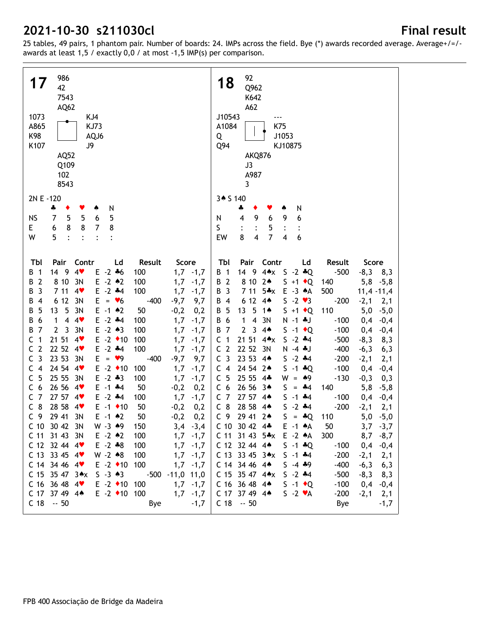| 986<br>17<br>42<br>7543<br>AQ62<br>1073<br>KJ4<br>A865<br><b>KJ73</b><br>K98<br>AQJ6<br>K107<br>J9<br>AQ52<br>Q109<br>102<br>8543 | 92<br>18<br>Q962<br>K642<br>A62<br>J10543<br>A1084<br>K75<br>J1053<br>Q<br>Q94<br>KJ10875<br>AKQ876<br>J3<br>A987<br>3                      |
|-----------------------------------------------------------------------------------------------------------------------------------|---------------------------------------------------------------------------------------------------------------------------------------------|
| 2N E -120                                                                                                                         | 3* S 140                                                                                                                                    |
| N<br>4<br>٠                                                                                                                       | N<br>÷<br>9                                                                                                                                 |
| 5<br>5<br><b>NS</b><br>7<br>5<br>6<br>8<br>8<br>E<br>8<br>6<br>7                                                                  | 9<br>6<br>6<br>N<br>4<br>ς<br>5                                                                                                             |
| 5<br>W<br>$\cdot$<br>$\ddot{\cdot}$<br>$\ddot{\cdot}$<br>$\ddot{\cdot}$                                                           | $\overline{\mathbf{4}}$<br>7<br>8<br>$\overline{\mathbf{4}}$<br>6<br>EW                                                                     |
|                                                                                                                                   |                                                                                                                                             |
| Tbl<br>Pair<br>Contr<br>Result<br>Score<br>Ld                                                                                     | Tbl<br>Contr<br>Pair<br>Ld<br>Result<br>Score                                                                                               |
| 4<br>$E - 2 * 6$<br>$\mathbf{1}$<br>14 9<br>100<br>$1,7 -1,7$<br>B                                                                | $4 \triangle x$<br><b>B</b> 1<br>14 9<br>$S - 2 * Q$<br>$-500$<br>$-8,3$<br>8,3                                                             |
| $\overline{2}$<br>8 10<br>3N<br>$E - 2$ $*2$<br>100<br>1,7<br>В<br>$-1,7$                                                         | $S + 1$ $\bullet$ Q<br>B 2<br>8 10<br>$2*$<br>5,8<br>140<br>$-5,8$                                                                          |
| 3<br>7 11<br>$E - 2$ $*4$<br>100<br>4<br>1,7<br>В<br>$-1,7$                                                                       | 711<br>$5 \cdot x$<br>$E - 3 A$<br>B<br>$\overline{3}$<br>500<br>$11,4 -11,4$                                                               |
| 6 12<br>3N<br>E.<br>$= 46$<br>$-400$<br>$-9,7$<br>9,7<br>В<br>4                                                                   | $S - 2 \cdot 3$<br>B<br>$\overline{4}$<br>6 12<br>4 <sub>•</sub><br>$-200$<br>$-2,1$<br>2,1                                                 |
| 5<br>3N<br>$E - 1$ $*2$<br>5<br>13<br>50<br>В<br>$-0,2$<br>0,2                                                                    | 13<br>5<br>$S + 1$ $\bullet$ Q<br>110<br>5,0<br>B<br>5<br>1 $\triangle$<br>$-5,0$                                                           |
| $E - 2$ $*4$<br>4<br>6<br>1<br>4<br>100<br>1,7<br>$-1,7$<br>В                                                                     | 6<br>1<br>3N<br>В<br>4<br>$N - 1$ $J$<br>$-100$<br>0,4<br>$-0,4$                                                                            |
| 7<br>$\mathbf{2}$<br>$\overline{3}$<br>3N<br>$E - 2 \cdot 3$<br>100<br>1,7<br>В<br>$-1,7$                                         | $\boldsymbol{7}$<br>$\mathbf{2}$<br>3<br>B<br>4 <sub>•</sub><br>$S -1$ $\bullet Q$<br>$-100$<br>0,4<br>$-0,4$                               |
| $E -2$ $\rightarrow 10$<br>1<br>21 51<br>100<br>С<br>4<br>1,7<br>$-1,7$                                                           | 1<br>21 51<br>$S - 2$ $*4$<br>C<br>4AX<br>$-500$<br>$-8,3$<br>8,3                                                                           |
| $\overline{2}$<br>$E - 2$ $*4$<br>22 52<br>100<br>С<br>4<br>1,7<br>$-1,7$                                                         | $\overline{2}$<br>22 52<br>3N<br>C<br>$N - 4$ . J<br>$-400$<br>$-6,3$<br>6,3                                                                |
| 3<br>23 53<br>3N<br>E<br>$= 9$<br>$-400$<br>$-9,7$<br>9,7<br>С                                                                    | $\overline{3}$<br>23 53<br>C<br>4 <sub>•</sub><br>$S - 2$ $*4$<br>$-200$<br>$-2,1$<br>2,1                                                   |
| $E -2$ $\rightarrow$ 10<br>24 54<br>$\overline{4}$<br>4<br>100<br>1,7<br>$-1,7$<br>C<br>5<br>$E - 2 * 3$<br>25 55                 | 24 54<br>$S - 1 * Q$<br>C <sub>4</sub><br>$2*$<br>$-100$<br>0,4<br>$-0,4$                                                                   |
| С<br>3N<br>100<br>1,7<br>$-1,7$<br>26 56<br>$E - 1$ $*4$<br>6<br>50<br>$-0,2$<br>C<br>4<br>0,2                                    | 5<br>25 55<br>C<br>$4*$<br>$W =$<br>$*9$<br>$-130$<br>$-0,3$<br>0,3<br>26 56<br>C <sub>6</sub><br>3▲<br>S<br>140<br>$-4$<br>5,8<br>$\equiv$ |
| $\overline{7}$<br>27 57<br>$E - 2$ $*4$<br>С<br>100<br>1,7<br>$-1,7$<br>4                                                         | $-5,8$<br>C <sub>7</sub><br>27 57<br>S<br>$-1$ $*4$<br>$-100$<br>$4*$<br>0,4<br>$-0,4$                                                      |
| 8<br>28 58<br>$E -1$ $\rightarrow 10$<br>50<br>C<br>4<br>$-0,2$<br>0,2                                                            | $C_8$<br>28 58<br>$-2$ $*4$<br>S<br>$-200$<br>$4*$<br>$-2,1$<br>2,1                                                                         |
| C <sub>9</sub><br>29 41<br>$E - 1$ $*2$<br>3N<br>50<br>0,2<br>$-0,2$                                                              | C <sub>9</sub><br>29 41 2*<br>S<br>$=$ $\clubsuit$ Q<br>110<br>5,0<br>$-5,0$                                                                |
| $W - 3 * 9$<br>C 10 30 42 3N<br>150<br>$3,4$ $-3,4$                                                                               | C 10 30 42 $4*$<br>$E - 1$ $A$<br>50<br>3,7<br>$-3,7$                                                                                       |
| C 11 31 43 3N<br>$E - 2 \cdot 2$<br>100<br>$1,7$ -1,7                                                                             | $C$ 11 31 43 5 $\ast$ x<br>$E -2 A$<br>300<br>$8,7 - 8,7$                                                                                   |
| $C$ 12 32 44 4 $\bullet$<br>$E - 2 * 8$<br>100<br>$1,7 -1,7$                                                                      | $C$ 12 32 44 44<br>$S - 1 * Q$<br>$-100$<br>$0,4$ -0,4                                                                                      |
| $W - 2 \cdot 8$<br>$C$ 13 33 45 4 $\bullet$<br>100<br>$1,7 -1,7$                                                                  |                                                                                                                                             |
|                                                                                                                                   | $C$ 13 33 45 3 $\star$ x<br>$S - 1$ $*4$<br>$-200$<br>$-2,1$<br>2,1                                                                         |
| $C$ 14 34 46 4<br>$E - 2$ $\triangleleft 10$ 100<br>$1,7 -1,7$                                                                    | C 14 34 46 44<br>$S - 4 * 9$<br>$-400$<br>$-6,3$<br>6,3                                                                                     |
| $C$ 15 35 47 3 $\star$ x<br>$S - 3 \cdot 3$<br>-500 -11,0 11,0                                                                    | $C$ 15 35 47 4 $\star$ x<br>$-500$<br>$S - 2$ $*4$<br>$-8,3$<br>8,3                                                                         |
| $C$ 16 36 48 4 $\bullet$<br>$E -2$ ◆ 10 100<br>$1,7 -1,7$                                                                         | C 16 36 48 44<br>$S -1$ $\bullet Q$<br>$-100$<br>0,4<br>$-0,4$                                                                              |
| C 17 37 49 4*<br>$E - 2$ +10 100<br>$1,7$ $-1,7$<br>$C$ 18 $-50$<br>Bye<br>$-1,7$                                                 | C 17 37 49 44<br>$-200$<br>$S - 2 \cdot A$<br>$-2,1$<br>2,1<br>$C$ 18 $-50$<br>Bye<br>$-1,7$                                                |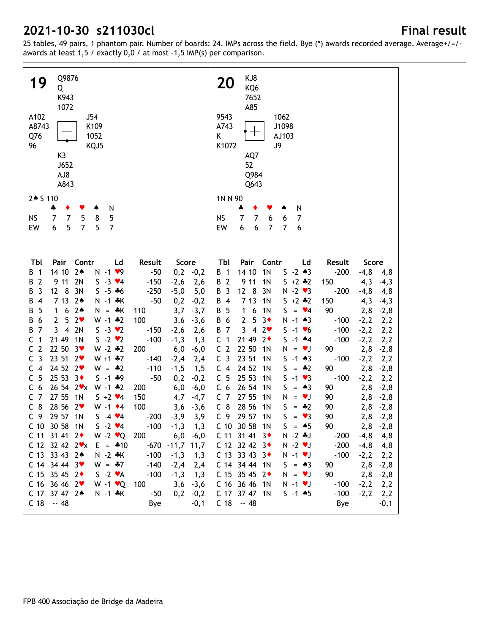| Q9876<br>19<br>Q<br>K943<br>1072<br>A102<br>J54<br>A8743<br>K109<br>Q76<br>1052<br>96<br>KQJ5<br>K3<br>J652<br>AJ8<br>A843              | KJ8<br><b>20</b><br>KQ6<br>7652<br>A85<br>9543<br>1062<br>A743<br>J1098<br>$\bm{\top}$<br>Κ<br>AJ103<br>K1072<br>J9<br>AQ7<br>52<br>Q984<br>Q643 |
|-----------------------------------------------------------------------------------------------------------------------------------------|--------------------------------------------------------------------------------------------------------------------------------------------------|
| 2 + S 110                                                                                                                               | 1N N 90                                                                                                                                          |
| N<br>ቆ<br>٠<br>۸                                                                                                                        | ÷<br>N<br>٠<br>♠                                                                                                                                 |
| $\overline{7}$<br>5<br>5<br><b>NS</b><br>7<br>8                                                                                         | $\overline{7}$<br><b>NS</b><br>7<br>6<br>7<br>6                                                                                                  |
| $\overline{7}$<br>5<br>$\overline{7}$<br>EW<br>6<br>5                                                                                   | $6\phantom{1}6$<br>$\overline{7}$<br>$\overline{7}$<br>EW<br>6<br>6                                                                              |
|                                                                                                                                         |                                                                                                                                                  |
| Pair<br>Contr<br>TЫ<br>Ld<br>Result<br>Score                                                                                            | Pair<br>Contr<br>Tbl<br>Ld<br>Result<br>Score                                                                                                    |
| $2*$<br>14 10<br>$N - 1$ $\vee$ 9<br>$-50$<br>$0,2$ $-0,2$<br>$\overline{1}$<br>В                                                       | $S - 2 * 3$<br>14 10<br>1 <sub>N</sub><br>$-200$<br>B 1<br>$-4,8$<br>4,8                                                                         |
| $\overline{2}$<br>9 11<br>2N<br>$S - 3 \cdot 4$<br>$-150$<br>В<br>$-2,6$<br>2,6                                                         | $S + 2 * 2$<br>B 2<br>9 11<br>1 <sub>N</sub><br>150<br>4,3<br>$-4,3$                                                                             |
| $\overline{3}$<br>$12 \quad 8$<br>3N<br>$S - 5 * 6$<br>$-250$<br>$-5,0$<br>5,0<br>В                                                     | B 3<br>12<br>8<br>$N - 2$ $\vee$ 3<br>3N<br>$-200$<br>$-4,8$<br>4,8                                                                              |
| 7 13<br>$2*$<br>$\overline{4}$<br>$N - 1$ $*K$<br>$-50$<br>В<br>0,2<br>$-0,2$                                                           | 7 13<br>$5 + 2 * 2$<br>1 <sub>N</sub><br>150<br>4,3<br>B 4<br>$-4,3$                                                                             |
| $2*$<br>5<br>6<br>$N = A K$<br>3,7<br>В<br>1<br>110<br>$-3,7$<br>5                                                                      | 1 <sub>N</sub><br>90<br>5<br>6<br>$S = \bullet 4$<br>В<br>1<br>2,8<br>$-2,8$                                                                     |
| 2 <sub>v</sub><br>$W - 1$ $*2$<br>100<br>$\overline{2}$<br>$-3,6$<br>В<br>6<br>3,6<br>2N<br>$S - 3 \cdot 2$<br>7<br>3<br>$\overline{4}$ | $\mathbf{2}$<br>5<br>$3*$<br>6<br>$N - 1$ $*3$<br>$-100$<br>$-2,2$<br>В<br>2,2<br>3<br>$\overline{4}$<br>$\overline{7}$<br>2 <sub>v</sub>        |
| В<br>$-150$<br>$-2,6$<br>2,6<br>$\mathbf{1}$<br>21 49<br>$S - 2 \cdot 2$<br>1 <sub>N</sub><br>$-100$<br>С                               | $S - 1 V6$<br>$-100$<br>В<br>$-2,2$<br>2,2<br>21 49<br>$\overline{1}$<br>$2\bullet$<br>$S - 1$ $*4$<br>$-100$                                    |
| $-1,3$<br>1,3<br>$\overline{2}$<br>22 50<br>$W - 2 * 2$<br>C<br>$3\bullet$<br>200                                                       | $-2,2$<br>C<br>2,2<br>C <sub>2</sub><br>22 50<br>1 <sub>N</sub><br>$N = vJ$<br>90                                                                |
| 6,0<br>$-6,0$<br>$\overline{3}$<br>23 51<br>C<br>$2\bullet$<br>$W + 1$ $*7$<br>$-140$<br>$-2,4$                                         | 2,8<br>$-2,8$<br>C <sub>3</sub><br>23 51<br>1 <sub>N</sub><br>$S - 1 \cdot 3$<br>$-100$<br>$-2,2$                                                |
| 2,4<br>$\overline{4}$<br>24 52<br>2 <sub>v</sub><br>$W = -2$<br>$-110$<br>C<br>$-1,5$<br>1,5                                            | 2,2<br>24 52<br>$S = -2$<br>C <sub>4</sub><br>1 <sub>N</sub><br>90<br>2,8<br>$-2,8$                                                              |
| 5<br>25 53<br>$3+$<br>$5 - 1 * 9$<br>$-50$<br>0,2<br>C<br>$-0,2$                                                                        | C <sub>5</sub><br>25 53<br>$S - 1 \cdot 3$<br>1 <sub>N</sub><br>$-100$<br>$-2,2$<br>2,2                                                          |
| 6<br>26542<br>$W - 1$ $*2$<br>200<br>6,0<br>C<br>$-6,0$                                                                                 | 26 54<br>C <sub>6</sub><br>1 <sub>N</sub><br>S.<br>90<br>2,8<br>$= A3$<br>$-2,8$                                                                 |
| $\overline{7}$<br>27 55<br>1 <sub>N</sub><br>$S + 2 \cdot 4$<br>150<br>4,7<br>C<br>$-4,7$                                               | C <sub>7</sub><br>27 55<br>1 <sub>N</sub><br>N<br>90<br>2,8<br><b>V</b><br>$-2,8$<br>$\qquad \qquad =$                                           |
| 8<br>28 56<br>2 <sub>v</sub><br>100<br>$W - 1$ $\bullet$ 4<br>C<br>3,6<br>$-3,6$                                                        | $C_8$<br>28 56<br>1 <sub>N</sub><br>S<br>$+2$<br>2,8<br>90<br>$-2,8$<br>$\qquad \qquad =$                                                        |
| 29 57 1N<br>C <sub>9</sub><br>$S - 4 \cdot 4$<br>$-200$<br>$-3,9$<br>3,9                                                                | C <sub>9</sub><br>29 57 1N<br>S.<br>$= \bullet 3$<br>90<br>2,8<br>$-2,8$                                                                         |
| C 10 30 58 1N<br>$S - 2 \cdot 4$<br>$-100$<br>1,3<br>$-1,3$                                                                             | C 10 30 58 1N<br>$S = \triangle 5$<br>90<br>$-2,8$<br>2,8                                                                                        |
| $W - 2 \cdot Q$ 200<br>$C$ 11 31 41 2 $\bullet$<br>$6,0$ $-6,0$                                                                         | $C$ 11 31 41 3<br>$N - 2 * J$<br>$-200$<br>$-4,8$<br>4,8                                                                                         |
| C 12 32 42 $2 \cdot x$ E = $*10$<br>$-670 - 11,7$ 11,7                                                                                  | $C$ 12 32 42 3 $\bullet$<br>$N - 2$ $\blacktriangledown$<br>$-200$<br>$-4,8$<br>4,8                                                              |
| C 13 33 43 2*<br>$N - 2 * K$<br>$-100$<br>$-1,3$<br>1,3                                                                                 | C 13 33 43 3 $\bullet$<br>$N - 1$ $V$<br>$-100$<br>$-2,2$<br>2,2                                                                                 |
| $C$ 14 34 44 3 $\bullet$<br>$W = -7$<br>$-140$<br>$-2,4$<br>2,4                                                                         | C 14 34 44 1N<br>$S = 43$<br>90<br>$2,8$ -2,8                                                                                                    |
| C 15 35 45 $2 \cdot$<br>$S - 2 \cdot A$<br>$-100$<br>$-1,3$<br>1,3                                                                      | C 15 35 45 $2 \cdot$<br>90<br>$N = VJ$<br>$2,8 -2,8$                                                                                             |
| $C$ 16 36 46 2 $\bullet$<br>$W - 1$ $\vee Q$<br>100<br>3,6<br>$-3,6$                                                                    | C 16 36 46 1N<br>$N - 1$ $V$<br>$-100$<br>$-2,2$<br>2,2                                                                                          |
| C 17 37 47 2*<br>$N - 1$ $*K$<br>$-50$<br>0,2<br>$-0,2$                                                                                 | C 17 37 47 1N<br>$S - 1$ $*5$<br>$-100$<br>$-2,2$<br>2,2                                                                                         |
| $C$ 18 $-48$<br>$-0,1$<br>Bye                                                                                                           | $C$ 18 $-48$<br>Bye<br>-0,1                                                                                                                      |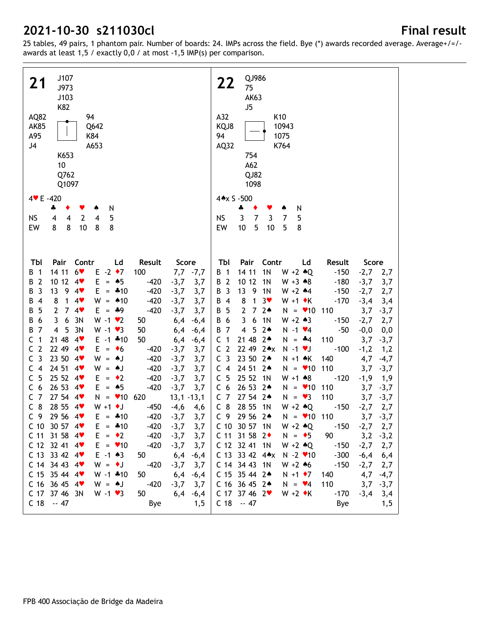| J107<br>21<br>J973<br>J103<br>K82<br>94<br>AQ82<br><b>AK85</b><br>Q642<br>A95<br>K84<br>J <sub>4</sub><br>A653<br>K653<br>10<br>Q762<br>Q1097 |                                                    | QJ986<br>22<br>75<br><b>AK63</b><br>J5<br>A32<br>K10<br>KQJ8<br>10943<br>94<br>1075<br>AQ32<br>K764<br>754<br>A62<br>QJ82<br>1098  |
|-----------------------------------------------------------------------------------------------------------------------------------------------|----------------------------------------------------|------------------------------------------------------------------------------------------------------------------------------------|
| $4 \times E - 420$                                                                                                                            |                                                    | 4*x S -500                                                                                                                         |
| N<br>÷<br>۸                                                                                                                                   |                                                    | ÷<br>N<br>٠<br>۸                                                                                                                   |
| $\overline{2}$<br><b>NS</b><br>5<br>4<br>$\overline{4}$<br>4                                                                                  |                                                    | <b>NS</b><br>$\overline{7}$<br>3<br>3<br>7<br>5                                                                                    |
| 8<br>8<br>10<br>8<br>EW<br>8                                                                                                                  |                                                    | 10<br>5<br>$10$<br>EW<br>5<br>8                                                                                                    |
|                                                                                                                                               |                                                    |                                                                                                                                    |
| Pair<br>Contr<br>Ld<br>Tbl                                                                                                                    | Result<br>Score                                    | Pair<br>Tbl<br>Contr Ld<br>Result<br>Score                                                                                         |
| $6*$<br>$E - 2 \cdot 7$<br>14 11<br>$\overline{1}$<br>В                                                                                       | $7,7,7$ $-7,7$<br>100                              | 14 11<br>1 <sub>N</sub><br>$W + 2 \cdot Q$<br>$-150$<br>B 1<br>$-2,7$ 2,7                                                          |
| 10 12<br>$\overline{2}$<br>4<br>$E = 0.5$<br>B<br>9<br>3<br>13<br>4<br>$E = -10$<br>В                                                         | $-420$<br>$-3,7$<br>3,7<br>$-420$<br>$-3,7$<br>3,7 | 10 12<br>B 2<br>1N<br>$-180$<br>$-3,7$<br>$W + 3 \cdot 8$<br>3,7<br>9 1N<br>B 3<br>13<br>$W + 2$ 44<br>$-150$<br>$-2,7$            |
| 8<br>1<br>4<br>$W = 10$<br>$\overline{4}$<br>В                                                                                                | $-420$<br>3,7<br>$-3,7$                            | 2,7<br>8<br>1<br>$3*$<br>$W + 1$ $\star$ K<br>B 4<br>$-170$<br>$-3,4$<br>3,4                                                       |
| 5<br>$\overline{2}$<br>4<br>$E = 49$<br>7<br>В                                                                                                | $-420$<br>3,7<br>$-3,7$                            | $\overline{7}$<br>$\overline{2}$<br>$2*$<br>$N = 10$ 110<br>B 5<br>3,7<br>$-3,7$                                                   |
| 6<br>3N<br>$W - 1$ $\vee$ 2<br>6<br>3<br>В                                                                                                    | 6,4<br>50<br>$-6,4$                                | B 6<br>3<br>6<br>1 <sup>N</sup><br>$W + 2 \cdot 3$<br>$-2,7$<br>2,7<br>$-150$                                                      |
| 5<br>3N<br>$W - 1 \cdot 3$<br>7<br>$\overline{4}$<br>В                                                                                        | 50<br>6,4<br>$-6,4$                                | 4 5 2 *<br>$N - 1$ $\vee 4$<br>$-0,0$<br>B 7<br>-50<br>0,0                                                                         |
| 21 48<br>1<br>4<br>$E - 1$ $*10$<br>C                                                                                                         | 50<br>6,4<br>$-6,4$                                | 21 48 24<br>C <sub>1</sub><br>110<br>$N = -4$<br>3,7<br>$-3,7$                                                                     |
| $\overline{2}$<br>22 49<br>C<br>$E = \bullet 6$<br>$4$ v                                                                                      | $-420$<br>$-3,7$<br>3,7                            | C <sub>2</sub><br>22 49 2*x<br>$-1,2$<br>$N - 1$ $\vee$<br>$-100$<br>1,2                                                           |
| $\overline{3}$<br>23 50<br>$W = AJ$<br>C<br>$4$ v                                                                                             | $-420$<br>3,7<br>$-3,7$                            | 23 50 24<br>C <sub>3</sub><br>$N + 1$ $\star$ K<br>140<br>4,7<br>$-4,7$                                                            |
| $\overline{4}$<br>24 51<br>$W = AJ$<br>C<br>4                                                                                                 | $-420$<br>3,7<br>$-3,7$                            | C <sub>4</sub><br>24 51 24<br>$N = 10$<br>110<br>3,7<br>$-3,7$                                                                     |
| 5<br>25 52<br>4<br>$E = \cdot 2$<br>C                                                                                                         | $-420$<br>$-3,7$<br>3,7                            | C <sub>5</sub><br>25 52<br>1N<br>$W + 1$ $*8$<br>$-1,9$<br>$-120$<br>1,9                                                           |
| 26 53<br>$E = 0.5$<br>6<br>4<br>C                                                                                                             | $-420$<br>$-3,7$<br>3,7                            | C <sub>6</sub><br>26 53 24<br>$N = 10$<br>110<br>3,7<br>$-3,7$                                                                     |
| 27 54<br>7<br>4<br>$N = 10620$<br>C                                                                                                           | $13,1 - 13,1$                                      | C <sub>7</sub><br>27 54 24<br>$N = \bullet 3$<br>110<br>3,7<br>$-3,7$                                                              |
| $C_8$<br>28 55<br>$W + 1$ + J<br>4                                                                                                            | $-4,6$<br>$-450$<br>4,6                            | $C_8$<br>28 55<br>1N<br>$W + 2 \cdot Q$<br>$-150$<br>$-2,7$<br>2,7                                                                 |
| 29 56 4<br>C <sub>9</sub><br>$E = 410$                                                                                                        | $-420$<br>$-3,7$<br>3,7                            | C <sub>9</sub><br>29 56 24<br>$N = 10$ 110<br>3,7<br>$-3,7$                                                                        |
| C 10 30 57 4<br>$E = *10$                                                                                                                     | $-420 -3,7 3,7$                                    | C 10 30 57 1N<br>$-2,7$ 2,7<br>$W + 2 \cdot Q$<br>$-150$                                                                           |
| $C$ 11 31 58 4 $\bullet$<br>$E = \cdot 2$                                                                                                     | $-420$<br>$-3,7$<br>3,7                            | $C$ 11 31 58 2 $\bullet$<br>$N = \bullet 5$<br>90 —<br>$3,2$ $-3,2$                                                                |
| $C$ 12 32 41 4 $\bullet$<br>$E = \bullet 10$                                                                                                  | $-420$<br>$-3,7$<br>3,7                            | C 12 32 41 1N<br>$W + 2 \cdot Q$<br>$-150$<br>$-2,7$<br>2,7                                                                        |
| $C$ 13 33 42 4 $\bullet$<br>$E - 1$ 43<br>$C$ 14 34 43 4 $\blacktriangledown$<br>$W = \cdot J$                                                | 50<br>6,4<br>$-6,4$                                | $C$ 13 33 42 4 $\star$ x<br>$N - 2$ $\vee$ 10<br>$-300$<br>$-6,4$<br>6,4                                                           |
|                                                                                                                                               |                                                    |                                                                                                                                    |
|                                                                                                                                               | $-420$<br>$-3,7$<br>3,7                            | C 14 34 43 1N<br>$W + 2 * 6$<br>$-150$<br>$-2,7$<br>2,7                                                                            |
| $W - 1$ $*10$<br>$C$ 15 35 44 4 $\bullet$                                                                                                     | 50<br>6,4<br>$-6,4$                                | C 15 35 44 2*<br>$N + 1$ $\bullet$ 7<br>4,7<br>140<br>$-4,7$                                                                       |
| $C$ 16 36 45 4 $\bullet$<br>$W = AJ$<br>C 17 37 46 3N<br>$W - 1 \cdot 3$                                                                      | $-420$<br>$-3,7$<br>3,7<br>50<br>6,4<br>$-6,4$     | C 16 36 45 2*<br>$N = \bullet 4$<br>110<br>3,7<br>$-3,7$<br>$C$ 17 37 46 2 $\bullet$<br>$W + 2 \cdot K$<br>$-170$<br>$-3,4$<br>3,4 |